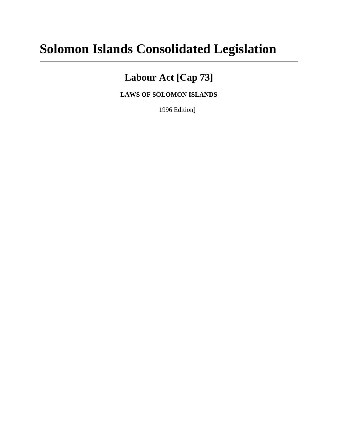# **Solomon Islands Consolidated Legislation**

# **Labour Act [Cap 73]**

**LAWS OF SOLOMON ISLANDS**

1996 Edition]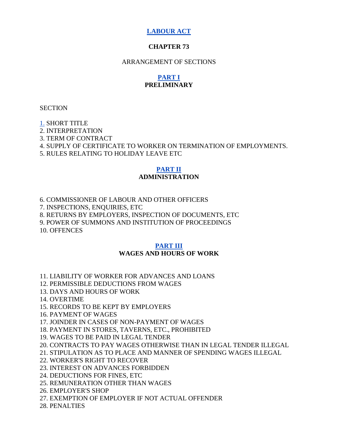# **[LABOUR ACT](http://www.paclii.org/sb/legis/consol_act/la84/)**

### **CHAPTER 73**

#### ARRANGEMENT OF SECTIONS

# **[PART I](http://www.paclii.org/sb/legis/consol_act/la84/index.html#p1) PRELIMINARY**

**SECTION** 

[1.](http://www.paclii.org/sb/legis/consol_act/la84/index.html#s1) SHORT TITLE 2. INTERPRETATION 3. TERM OF CONTRACT

4. SUPPLY OF CERTIFICATE TO WORKER ON TERMINATION OF EMPLOYMENTS.

5. RULES RELATING TO HOLIDAY LEAVE ETC

### **[PART II](http://www.paclii.org/sb/legis/consol_act/la84/index.html#p2) ADMINISTRATION**

6. COMMISSIONER OF LABOUR AND OTHER OFFICERS

7. INSPECTIONS, ENQUIRIES, ETC

8. RETURNS BY EMPLOYERS, INSPECTION OF DOCUMENTS, ETC

9. POWER OF SUMMONS AND INSTITUTION OF PROCEEDINGS

10. OFFENCES

#### **[PART III](http://www.paclii.org/sb/legis/consol_act/la84/index.html#p3) WAGES AND HOURS OF WORK**

11. LIABILITY OF WORKER FOR ADVANCES AND LOANS

12. PERMISSIBLE DEDUCTIONS FROM WAGES

- 13. DAYS AND HOURS OF WORK
- 14. OVERTIME

15. RECORDS TO BE KEPT BY EMPLOYERS

16. PAYMENT OF WAGES

17. JOINDER IN CASES OF NON-PAYMENT OF WAGES

18. PAYMENT IN STORES, TAVERNS, ETC., PROHIBITED

19. WAGES TO BE PAID IN LEGAL TENDER

20. CONTRACTS TO PAY WAGES OTHERWISE THAN IN LEGAL TENDER ILLEGAL

21. STIPULATION AS TO PLACE AND MANNER OF SPENDING WAGES ILLEGAL

22. WORKER'S RIGHT TO RECOVER

23. INTEREST ON ADVANCES FORBIDDEN

24. DEDUCTIONS FOR FINES, ETC

25. REMUNERATION OTHER THAN WAGES

26. EMPLOYER'S SHOP

27. EXEMPTION OF EMPLOYER IF NOT ACTUAL OFFENDER

28. PENALTIES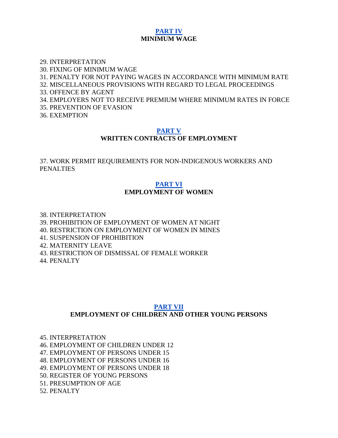### **[PART IV](http://www.paclii.org/sb/legis/consol_act/la84/index.html#p4) MINIMUM WAGE**

29. INTERPRETATION 30. FIXING OF MINIMUM WAGE 31. PENALTY FOR NOT PAYING WAGES IN ACCORDANCE WITH MINIMUM RATE 32. MISCELLANEOUS PROVISIONS WITH REGARD TO LEGAL PROCEEDINGS 33. OFFENCE BY AGENT 34. EMPLOYERS NOT TO RECEIVE PREMIUM WHERE MINIMUM RATES IN FORCE 35. PREVENTION OF EVASION 36. EXEMPTION

# **[PART V](http://www.paclii.org/sb/legis/consol_act/la84/index.html#p5)**

# **WRITTEN CONTRACTS OF EMPLOYMENT**

37. WORK PERMIT REQUIREMENTS FOR NON-INDIGENOUS WORKERS AND PENALTIES

### **[PART VI](http://www.paclii.org/sb/legis/consol_act/la84/index.html#p6) EMPLOYMENT OF WOMEN**

38. INTERPRETATION 39. PROHIBITION OF EMPLOYMENT OF WOMEN AT NIGHT 40. RESTRICTION ON EMPLOYMENT OF WOMEN IN MINES 41. SUSPENSION OF PROHIBITION 42. MATERNITY LEAVE 43. RESTRICTION OF DISMISSAL OF FEMALE WORKER

44. PENALTY

# **[PART VII](http://www.paclii.org/sb/legis/consol_act/la84/index.html#p7) EMPLOYMENT OF CHILDREN AND OTHER YOUNG PERSONS**

45. INTERPRETATION

46. EMPLOYMENT OF CHILDREN UNDER 12

47. EMPLOYMENT OF PERSONS UNDER 15

48. EMPLOYMENT OF PERSONS UNDER 16

49. EMPLOYMENT OF PERSONS UNDER 18

50. REGISTER OF YOUNG PERSONS

51. PRESUMPTION OF AGE

52. PENALTY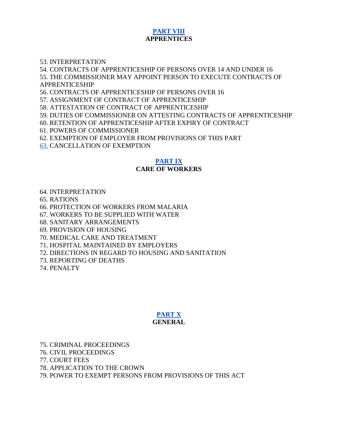# **[PART VIII](http://www.paclii.org/sb/legis/consol_act/la84/index.html#p8) APPRENTICES**

#### 53. INTERPRETATION

54. CONTRACTS OF APPRENTICESHIP OF PERSONS OVER 14 AND UNDER 16 55. THE COMMISSIONER MAY APPOINT PERSON TO EXECUTE CONTRACTS OF APPRENTICESHIP

56. CONTRACTS OF APPRENTICESHIP OF PERSONS OVER 16

57. ASSIGNMENT OF CONTRACT OF APPRENTICESHIP

58. ATTESTATION OF CONTRACT OF APPRENTICESHIP

59. DUTIES OF COMMISSIONER ON ATTESTING CONTRACTS OF APPRENTICESHIP

60. RETENTION OF APPRENTICESHIP AFTER EXPIRY OF CONTRACT

61. POWERS OF COMMISSIONER

62. EXEMPTION OF EMPLOYER FROM PROVISIONS OF THIS PART

[63.](http://www.paclii.org/sb/legis/consol_act/la84/index.html#p63) CANCELLATION OF EXEMPTION

#### **[PART IX](http://www.paclii.org/sb/legis/consol_act/la84/index.html#p9)**

#### **CARE OF WORKERS**

#### 64. INTERPRETATION

65. RATIONS

66. PROTECTION OF WORKERS FROM MALARIA

67. WORKERS TO BE SUPPLIED WITH WATER

68. SANITARY ARRANGEMENTS

69. PROVISION OF HOUSING

70. MEDICAL CARE AND TREATMENT

71. HOSPITAL MAINTAINED BY EMPLOYERS

72. DIRECTIONS IN REGARD TO HOUSING AND SANITATION

73. REPORTING OF DEATHS

74. PENALTY

### **[PART X](http://www.paclii.org/sb/legis/consol_act/la84/index.html#p10) GENERAL**

75. CRIMINAL PROCEEDINGS

76. CIVIL PROCEEDINGS

77. COURT FEES

78. APPLICATION TO THE CROWN

79. POWER TO EXEMPT PERSONS FROM PROVISIONS OF THIS ACT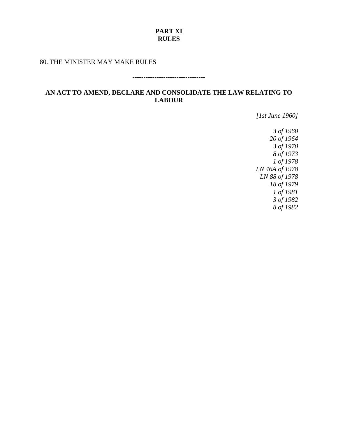### **PART XI RULES**

### 80. THE MINISTER MAY MAKE RULES

#### ---------------------------------

# **AN ACT TO AMEND, DECLARE AND CONSOLIDATE THE LAW RELATING TO LABOUR**

*[1st June 1960]*

*3 of 1960 20 of 1964 3 of 1970 8 of 1973 1 of 1978 LN 46A of 1978 LN 88 of 1978 18 of 1979 1 of 1981 3 of 1982 8 of 1982*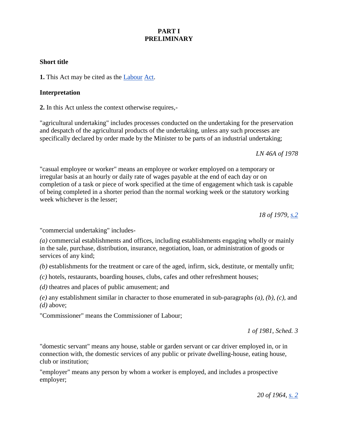# **PART I PRELIMINARY**

### **Short title**

**1.** This Act may be cited as the [Labour](http://www.paclii.org/sb/legis/consol_act/la84/) [Act.](http://www.paclii.org/sb/legis/consol_act/la84/)

### **Interpretation**

**2.** In this Act unless the context otherwise requires,-

"agricultural undertaking" includes processes conducted on the undertaking for the preservation and despatch of the agricultural products of the undertaking, unless any such processes are specifically declared by order made by the Minister to be parts of an industrial undertaking;

*LN 46A of 1978*

"casual employee or worker" means an employee or worker employed on a temporary or irregular basis at an hourly or daily rate of wages payable at the end of each day or on completion of a task or piece of work specified at the time of engagement which task is capable of being completed in a shorter period than the normal working week or the statutory working week whichever is the lesser;

*18 of 1979, [s.2](http://www.paclii.org/sb/legis/consol_act/la84/index.html#s2)*

"commercial undertaking" includes-

*(a)* commercial establishments and offices, including establishments engaging wholly or mainly in the sale, purchase, distribution, insurance, negotiation, loan, or administration of goods or services of any kind;

*(b)* establishments for the treatment or care of the aged, infirm, sick, destitute, or mentally unfit;

*(c)* hotels, restaurants, boarding houses, clubs, cafes and other refreshment houses;

*(d)* theatres and places of public amusement; and

*(e)* any establishment similar in character to those enumerated in sub-paragraphs *(a), (b), (c),* and *(d)* above;

"Commissioner" means the Commissioner of Labour;

*1 of 1981, Sched. 3*

"domestic servant" means any house, stable or garden servant or car driver employed in, or in connection with, the domestic services of any public or private dwelling-house, eating house, club or institution;

"employer" means any person by whom a worker is employed, and includes a prospective employer;

*20 of 1964, [s. 2](http://www.paclii.org/sb/legis/consol_act/la84/index.html#s2)*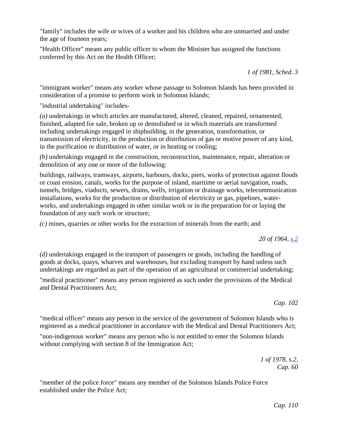"family" includes the wife or wives of a worker and his children who are unmarried and under the age of fourteen years;

"Health Officer" means any public officer to whom the Minister has assigned the functions conferred by this Act on the Health Officer;

*1 of 1981, Sched. 3*

"immigrant worker" means any worker whose passage to Solomon Islands has been provided in consideration of a promise to perform work in Solomon Islands;

"industrial undertaking" includes-

*(a)* undertakings in which articles are manufactured, altered, cleaned, repaired, ornamented, finished, adapted for sale, broken up or demolished or in which materials are transformed including undertakings engaged in shipbuilding, in the generation, transformation, or transmission of electricity, in the production or distribution of gas or motive power of any kind, in the purification or distribution of water, or in heating or cooling;

*(b)* undertakings engaged in the construction, reconstruction, maintenance, repair, alteration or demolition of any one or more of the following:

buildings, railways, tramways, airports, harbours, docks, piers, works of protection against floods or coast erosion, canals, works for the purpose of inland, maritime or aerial navigation, roads, tunnels, bridges, viaducts, sewers, drains, wells, irrigation or drainage works, telecommunication installations, works for the production or distribution of electricity or gas, pipelines, waterworks, and undertakings engaged in other similar work or in the preparation for or laying the foundation of any such work or structure;

*(c)* mines, quarries or other works for the extraction of minerals from the earth; and

*20 of 1964, [s.2](http://www.paclii.org/sb/legis/consol_act/la84/index.html#s2)*

*(d)* undertakings engaged in the transport of passengers or goods, including the handling of goods at docks, quays, wharves and warehouses, but excluding transport by hand unless such undertakings are regarded as part of the operation of an agricultural or commercial undertaking;

"medical practitioner" means any person registered as such under the provisions of the Medical and Dental Practitioners Act;

*Cap. 102*

"medical officer" means any person in the service of the government of Solomon Islands who is registered as a medical practitioner in accordance with the Medical and Dental Practitioners Act;

"non-indigenous worker" means any person who is not entitled to enter the Solomon Islands without complying with section 8 of the Immigration Act;

> *1 of 1978, s.2, Cap. 60*

"member of the police force" means any member of the Solomon Islands Police Force established under the Police Act;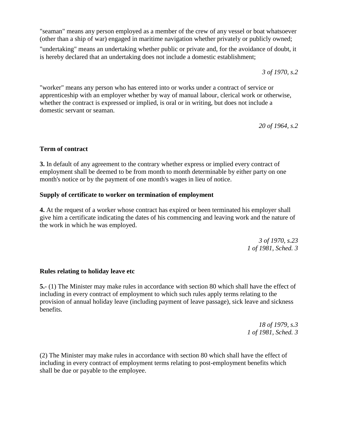"seaman" means any person employed as a member of the crew of any vessel or boat whatsoever (other than a ship of war) engaged in maritime navigation whether privately or publicly owned;

"undertaking" means an undertaking whether public or private and, for the avoidance of doubt, it is hereby declared that an undertaking does not include a domestic establishment;

*3 of 1970, s.2*

"worker" means any person who has entered into or works under a contract of service or apprenticeship with an employer whether by way of manual labour, clerical work or otherwise, whether the contract is expressed or implied, is oral or in writing, but does not include a domestic servant or seaman.

*20 of 1964, s.2*

### **Term of contract**

**3.** In default of any agreement to the contrary whether express or implied every contract of employment shall be deemed to be from month to month determinable by either party on one month's notice or by the payment of one month's wages in lieu of notice.

### **Supply of certificate to worker on termination of employment**

**4.** At the request of a worker whose contract has expired or been terminated his employer shall give him a certificate indicating the dates of his commencing and leaving work and the nature of the work in which he was employed.

> *3 of 1970, s.23 1 of 1981, Sched. 3*

### **Rules relating to holiday leave etc**

**5.**- (1) The Minister may make rules in accordance with section 80 which shall have the effect of including in every contract of employment to which such rules apply terms relating to the provision of annual holiday leave (including payment of leave passage), sick leave and sickness benefits.

> *18 of 1979, s.3 1 of 1981, Sched. 3*

(2) The Minister may make rules in accordance with section 80 which shall have the effect of including in every contract of employment terms relating to post-employment benefits which shall be due or payable to the employee.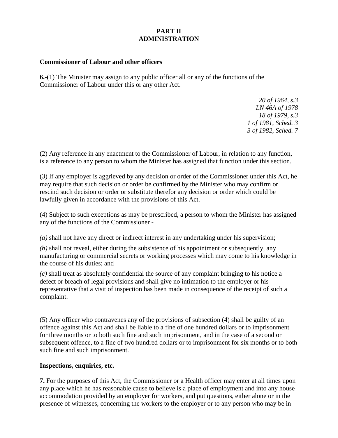# **PART II ADMINISTRATION**

### **Commissioner of Labour and other officers**

**6.**-(1) The Minister may assign to any public officer all or any of the functions of the Commissioner of Labour under this or any other Act.

> *20 of 1964, s.3 LN 46A of 1978 18 of 1979, s.3 1 of 1981, Sched. 3 3 of 1982, Sched. 7*

(2) Any reference in any enactment to the Commissioner of Labour, in relation to any function, is a reference to any person to whom the Minister has assigned that function under this section.

(3) If any employer is aggrieved by any decision or order of the Commissioner under this Act, he may require that such decision or order be confirmed by the Minister who may confirm or rescind such decision or order or substitute therefor any decision or order which could be lawfully given in accordance with the provisions of this Act.

(4) Subject to such exceptions as may be prescribed, a person to whom the Minister has assigned any of the functions of the Commissioner -

*(a)* shall not have any direct or indirect interest in any undertaking under his supervision;

*(b)* shall not reveal, either during the subsistence of his appointment or subsequently, any manufacturing or commercial secrets or working processes which may come to his knowledge in the course of his duties; and

*(c)* shall treat as absolutely confidential the source of any complaint bringing to his notice a defect or breach of legal provisions and shall give no intimation to the employer or his representative that a visit of inspection has been made in consequence of the receipt of such a complaint.

(5) Any officer who contravenes any of the provisions of subsection (4) shall be guilty of an offence against this Act and shall be liable to a fine of one hundred dollars or to imprisonment for three months or to both such fine and such imprisonment, and in the case of a second or subsequent offence, to a fine of two hundred dollars or to imprisonment for six months or to both such fine and such imprisonment.

### **Inspections, enquiries, etc.**

**7.** For the purposes of this Act, the Commissioner or a Health officer may enter at all times upon any place which he has reasonable cause to believe is a place of employment and into any house accommodation provided by an employer for workers, and put questions, either alone or in the presence of witnesses, concerning the workers to the employer or to any person who may be in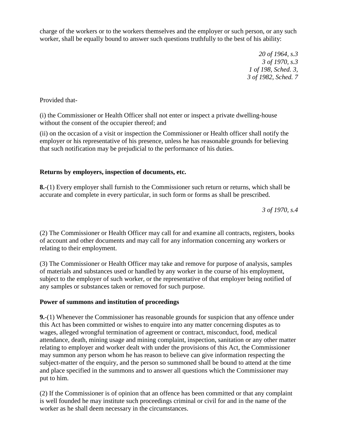charge of the workers or to the workers themselves and the employer or such person, or any such worker, shall be equally bound to answer such questions truthfully to the best of his ability:

> *20 of 1964, s.3 3 of 1970, s.3 1 of 198, Sched. 3, 3 of 1982, Sched. 7*

Provided that-

(i) the Commissioner or Health Officer shall not enter or inspect a private dwelling-house without the consent of the occupier thereof; and

(ii) on the occasion of a visit or inspection the Commissioner or Health officer shall notify the employer or his representative of his presence, unless he has reasonable grounds for believing that such notification may be prejudicial to the performance of his duties.

# **Returns by employers, inspection of documents, etc.**

**8.**-(1) Every employer shall furnish to the Commissioner such return or returns, which shall be accurate and complete in every particular, in such form or forms as shall be prescribed.

*3 of 1970, s.4*

(2) The Commissioner or Health Officer may call for and examine all contracts, registers, books of account and other documents and may call for any information concerning any workers or relating to their employment.

(3) The Commissioner or Health Officer may take and remove for purpose of analysis, samples of materials and substances used or handled by any worker in the course of his employment, subject to the employer of such worker, or the representative of that employer being notified of any samples or substances taken or removed for such purpose.

# **Power of summons and institution of proceedings**

**9.**-(1) Whenever the Commissioner has reasonable grounds for suspicion that any offence under this Act has been committed or wishes to enquire into any matter concerning disputes as to wages, alleged wrongful termination of agreement or contract, misconduct, food, medical attendance, death, mining usage and mining complaint, inspection, sanitation or any other matter relating to employer and worker dealt with under the provisions of this Act, the Commissioner may summon any person whom he has reason to believe can give information respecting the subject-matter of the enquiry, and the person so summoned shall be bound to attend at the time and place specified in the summons and to answer all questions which the Commissioner may put to him.

(2) If the Commissioner is of opinion that an offence has been committed or that any complaint is well founded he may institute such proceedings criminal or civil for and in the name of the worker as he shall deem necessary in the circumstances.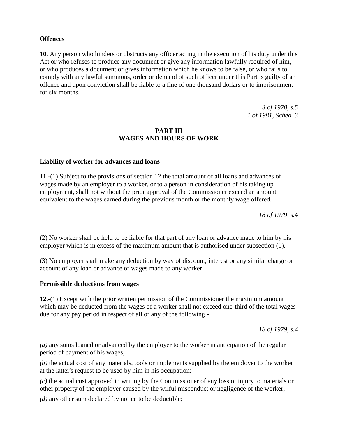### **Offences**

**10.** Any person who hinders or obstructs any officer acting in the execution of his duty under this Act or who refuses to produce any document or give any information lawfully required of him, or who produces a document or gives information which he knows to be false, or who fails to comply with any lawful summons, order or demand of such officer under this Part is guilty of an offence and upon conviction shall be liable to a fine of one thousand dollars or to imprisonment for six months.

> *3 of 1970, s.5 1 of 1981, Sched. 3*

### **PART III WAGES AND HOURS OF WORK**

### **Liability of worker for advances and loans**

**11.**-(1) Subject to the provisions of section 12 the total amount of all loans and advances of wages made by an employer to a worker, or to a person in consideration of his taking up employment, shall not without the prior approval of the Commissioner exceed an amount equivalent to the wages earned during the previous month or the monthly wage offered.

*18 of 1979, s.4*

(2) No worker shall be held to be liable for that part of any loan or advance made to him by his employer which is in excess of the maximum amount that is authorised under subsection (1).

(3) No employer shall make any deduction by way of discount, interest or any similar charge on account of any loan or advance of wages made to any worker.

### **Permissible deductions from wages**

**12.**-(1) Except with the prior written permission of the Commissioner the maximum amount which may be deducted from the wages of a worker shall not exceed one-third of the total wages due for any pay period in respect of all or any of the following -

*18 of 1979, s.4*

*(a)* any sums loaned or advanced by the employer to the worker in anticipation of the regular period of payment of his wages;

*(b)* the actual cost of any materials, tools or implements supplied by the employer to the worker at the latter's request to be used by him in his occupation;

*(c)* the actual cost approved in writing by the Commissioner of any loss or injury to materials or other property of the employer caused by the wilful misconduct or negligence of the worker;

*(d)* any other sum declared by notice to be deductible;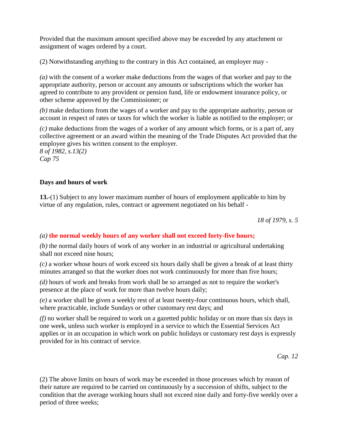Provided that the maximum amount specified above may be exceeded by any attachment or assignment of wages ordered by a court.

(2) Notwithstanding anything to the contrary in this Act contained, an employer may -

*(a)* with the consent of a worker make deductions from the wages of that worker and pay to the appropriate authority, person or account any amounts or subscriptions which the worker has agreed to contribute to any provident or pension fund, life or endowment insurance policy, or other scheme approved by the Commissioner; or

*(b)* make deductions from the wages of a worker and pay to the appropriate authority, person or account in respect of rates or taxes for which the worker is liable as notified to the employer; or

*(c)* make deductions from the wages of a worker of any amount which forms, or is a part of, any collective agreement or an award within the meaning of the Trade Disputes Act provided that the employee gives his written consent to the employer.

*8 of 1982, s.13(2) Cap 75*

# **Days and hours of work**

**13.**-(1) Subject to any lower maximum number of hours of employment applicable to him by virtue of any regulation, rules, contract or agreement negotiated on his behalf -

*18 of 1979, s. 5*

# *(a)* **the normal weekly hours of any worker shall not exceed forty-five hours;**

*(b)* the normal daily hours of work of any worker in an industrial or agricultural undertaking shall not exceed nine hours;

*(c)* a worker whose hours of work exceed six hours daily shall be given a break of at least thirty minutes arranged so that the worker does not work continuously for more than five hours;

*(d)* hours of work and breaks from work shall be so arranged as not to require the worker's presence at the place of work for more than twelve hours daily;

*(e)* a worker shall be given a weekly rest of at least twenty-four continuous hours, which shall, where practicable, include Sundays or other customary rest days; and

*(f)* no worker shall be required to work on a gazetted public holiday or on more than six days in one week, unless such worker is employed in a service to which the Essential Services Act applies or in an occupation in which work on public holidays or customary rest days is expressly provided for in his contract of service.

*Cap. 12*

(2) The above limits on hours of work may be exceeded in those processes which by reason of their nature are required to be carried on continuously by a succession of shifts, subject to the condition that the average working hours shall not exceed nine daily and forty-five weekly over a period of three weeks;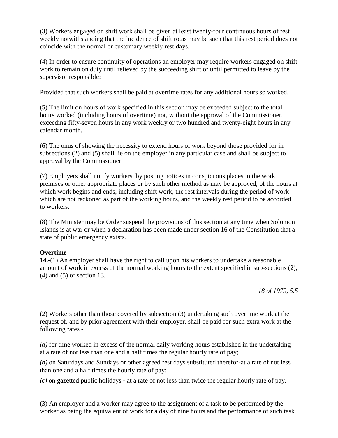(3) Workers engaged on shift work shall be given at least twenty-four continuous hours of rest weekly notwithstanding that the incidence of shift rotas may be such that this rest period does not coincide with the normal or customary weekly rest days.

(4) In order to ensure continuity of operations an employer may require workers engaged on shift work to remain on duty until relieved by the succeeding shift or until permitted to leave by the supervisor responsible:

Provided that such workers shall be paid at overtime rates for any additional hours so worked.

(5) The limit on hours of work specified in this section may be exceeded subject to the total hours worked (including hours of overtime) not, without the approval of the Commissioner, exceeding fifty-seven hours in any work weekly or two hundred and twenty-eight hours in any calendar month.

(6) The onus of showing the necessity to extend hours of work beyond those provided for in subsections (2) and (5) shall lie on the employer in any particular case and shall be subject to approval by the Commissioner.

(7) Employers shall notify workers, by posting notices in conspicuous places in the work premises or other appropriate places or by such other method as may be approved, of the hours at which work begins and ends, including shift work, the rest intervals during the period of work which are not reckoned as part of the working hours, and the weekly rest period to be accorded to workers.

(8) The Minister may be Order suspend the provisions of this section at any time when Solomon Islands is at war or when a declaration has been made under section 16 of the Constitution that a state of public emergency exists.

# **Overtime**

**14.**-(1) An employer shall have the right to call upon his workers to undertake a reasonable amount of work in excess of the normal working hours to the extent specified in sub-sections (2), (4) and (5) of section 13.

*18 of 1979, 5.5*

(2) Workers other than those covered by subsection (3) undertaking such overtime work at the request of, and by prior agreement with their employer, shall be paid for such extra work at the following rates -

*(a)* for time worked in excess of the normal daily working hours established in the undertakingat a rate of not less than one and a half times the regular hourly rate of pay;

*(b)* on Saturdays and Sundays or other agreed rest days substituted therefor-at a rate of not less than one and a half times the hourly rate of pay;

*(c)* on gazetted public holidays - at a rate of not less than twice the regular hourly rate of pay.

(3) An employer and a worker may agree to the assignment of a task to be performed by the worker as being the equivalent of work for a day of nine hours and the performance of such task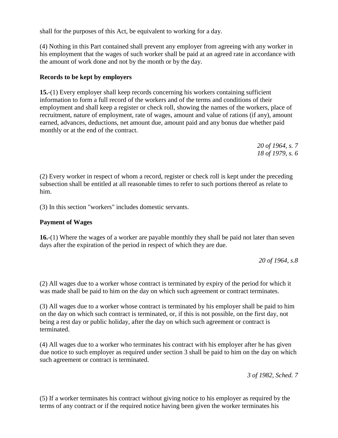shall for the purposes of this Act, be equivalent to working for a day.

(4) Nothing in this Part contained shall prevent any employer from agreeing with any worker in his employment that the wages of such worker shall be paid at an agreed rate in accordance with the amount of work done and not by the month or by the day.

### **Records to be kept by employers**

**15.**-(1) Every employer shall keep records concerning his workers containing sufficient information to form a full record of the workers and of the terms and conditions of their employment and shall keep a register or check roll, showing the names of the workers, place of recruitment, nature of employment, rate of wages, amount and value of rations (if any), amount earned, advances, deductions, net amount due, amount paid and any bonus due whether paid monthly or at the end of the contract.

> *20 of 1964, s. 7 18 of 1979, s. 6*

(2) Every worker in respect of whom a record, register or check roll is kept under the preceding subsection shall be entitled at all reasonable times to refer to such portions thereof as relate to him.

(3) In this section "workers" includes domestic servants.

### **Payment of Wages**

**16.**-(1) Where the wages of a worker are payable monthly they shall be paid not later than seven days after the expiration of the period in respect of which they are due.

*20 of 1964, s.8*

(2) All wages due to a worker whose contract is terminated by expiry of the period for which it was made shall be paid to him on the day on which such agreement or contract terminates.

(3) All wages due to a worker whose contract is terminated by his employer shall be paid to him on the day on which such contract is terminated, or, if this is not possible, on the first day, not being a rest day or public holiday, after the day on which such agreement or contract is terminated.

(4) All wages due to a worker who terminates his contract with his employer after he has given due notice to such employer as required under section 3 shall be paid to him on the day on which such agreement or contract is terminated.

*3 of 1982, Sched. 7*

(5) If a worker terminates his contract without giving notice to his employer as required by the terms of any contract or if the required notice having been given the worker terminates his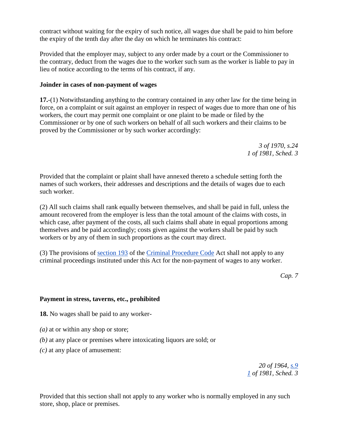contract without waiting for the expiry of such notice, all wages due shall be paid to him before the expiry of the tenth day after the day on which he terminates his contract:

Provided that the employer may, subject to any order made by a court or the Commissioner to the contrary, deduct from the wages due to the worker such sum as the worker is liable to pay in lieu of notice according to the terms of his contract, if any.

### **Joinder in cases of non-payment of wages**

**17.**-(1) Notwithstanding anything to the contrary contained in any other law for the time being in force, on a complaint or suit against an employer in respect of wages due to more than one of his workers, the court may permit one complaint or one plaint to be made or filed by the Commissioner or by one of such workers on behalf of all such workers and their claims to be proved by the Commissioner or by such worker accordingly:

> *3 of 1970, s.24 1 of 1981, Sched. 3*

Provided that the complaint or plaint shall have annexed thereto a schedule setting forth the names of such workers, their addresses and descriptions and the details of wages due to each such worker.

(2) All such claims shall rank equally between themselves, and shall be paid in full, unless the amount recovered from the employer is less than the total amount of the claims with costs, in which case, after payment of the costs, all such claims shall abate in equal proportions among themselves and be paid accordingly; costs given against the workers shall be paid by such workers or by any of them in such proportions as the court may direct.

(3) The provisions of [section 193](http://www.paclii.org/sb/legis/consol_act/cpc190/index.html#s193) of the [Criminal Procedure Code](http://www.paclii.org/sb/legis/consol_act/cpc190/) Act shall not apply to any criminal proceedings instituted under this Act for the non-payment of wages to any worker.

*Cap. 7*

### **Payment in stress, taverns, etc., prohibited**

**18.** No wages shall be paid to any worker-

- *(a)* at or within any shop or store;
- *(b)* at any place or premises where intoxicating liquors are sold; or
- *(c)* at any place of amusement:

*20 of 1964, [s.9](http://www.paclii.org/sb/legis/consol_act/cpc190/index.html#s9) [1](http://www.paclii.org/sb/legis/consol_act/cpc190/index.html#s1) of 1981, Sched. 3*

Provided that this section shall not apply to any worker who is normally employed in any such store, shop, place or premises.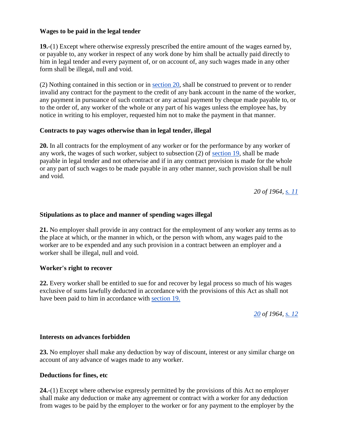### **Wages to be paid in the legal tender**

**19.**-(1) Except where otherwise expressly prescribed the entire amount of the wages earned by, or payable to, any worker in respect of any work done by him shall be actually paid directly to him in legal tender and every payment of, or on account of, any such wages made in any other form shall be illegal, null and void.

(2) Nothing contained in this section or in [section 20,](http://www.paclii.org/sb/legis/consol_act/cpc190/index.html#s20) shall be construed to prevent or to render invalid any contract for the payment to the credit of any bank account in the name of the worker, any payment in pursuance of such contract or any actual payment by cheque made payable to, or to the order of, any worker of the whole or any part of his wages unless the employee has, by notice in writing to his employer, requested him not to make the payment in that manner.

### **Contracts to pay wages otherwise than in legal tender, illegal**

**20.** In all contracts for the employment of any worker or for the performance by any worker of any work, the wages of such worker, subject to subsection (2) of [section 19,](http://www.paclii.org/sb/legis/consol_act/cpc190/index.html#s19) shall be made payable in legal tender and not otherwise and if in any contract provision is made for the whole or any part of such wages to be made payable in any other manner, such provision shall be null and void.

*20 of 1964, [s. 11](http://www.paclii.org/sb/legis/consol_act/cpc190/index.html#s11)*

### **Stipulations as to place and manner of spending wages illegal**

**21.** No employer shall provide in any contract for the employment of any worker any terms as to the place at which, or the manner in which, or the person with whom, any wages paid to the worker are to be expended and any such provision in a contract between an employer and a worker shall be illegal, null and void.

### **Worker's right to recover**

**22.** Every worker shall be entitled to sue for and recover by legal process so much of his wages exclusive of sums lawfully deducted in accordance with the provisions of this Act as shall not have been paid to him in accordance with [section 19.](http://www.paclii.org/sb/legis/consol_act/cpc190/index.html#s19)

*[20](http://www.paclii.org/sb/legis/consol_act/cpc190/index.html#s20) of 1964, [s. 12](http://www.paclii.org/sb/legis/consol_act/cpc190/index.html#s12)*

### **Interests on advances forbidden**

**23.** No employer shall make any deduction by way of discount, interest or any similar charge on account of any advance of wages made to any worker.

### **Deductions for fines, etc**

**24.**-(1) Except where otherwise expressly permitted by the provisions of this Act no employer shall make any deduction or make any agreement or contract with a worker for any deduction from wages to be paid by the employer to the worker or for any payment to the employer by the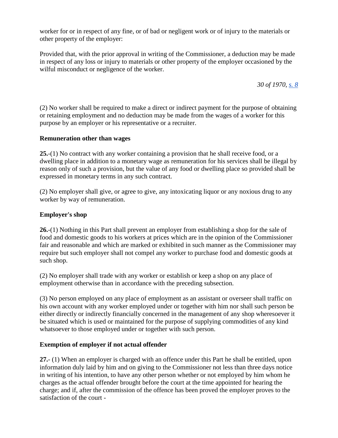worker for or in respect of any fine, or of bad or negligent work or of injury to the materials or other property of the employer:

Provided that, with the prior approval in writing of the Commissioner, a deduction may be made in respect of any loss or injury to materials or other property of the employer occasioned by the wilful misconduct or negligence of the worker.

*30 of 1970, [s. 8](http://www.paclii.org/sb/legis/consol_act/cpc190/index.html#s8)*

(2) No worker shall be required to make a direct or indirect payment for the purpose of obtaining or retaining employment and no deduction may be made from the wages of a worker for this purpose by an employer or his representative or a recruiter.

### **Remuneration other than wages**

**25.**-(1) No contract with any worker containing a provision that he shall receive food, or a dwelling place in addition to a monetary wage as remuneration for his services shall be illegal by reason only of such a provision, but the value of any food or dwelling place so provided shall be expressed in monetary terms in any such contract.

(2) No employer shall give, or agree to give, any intoxicating liquor or any noxious drug to any worker by way of remuneration.

### **Employer's shop**

**26.**-(1) Nothing in this Part shall prevent an employer from establishing a shop for the sale of food and domestic goods to his workers at prices which are in the opinion of the Commissioner fair and reasonable and which are marked or exhibited in such manner as the Commissioner may require but such employer shall not compel any worker to purchase food and domestic goods at such shop.

(2) No employer shall trade with any worker or establish or keep a shop on any place of employment otherwise than in accordance with the preceding subsection.

(3) No person employed on any place of employment as an assistant or overseer shall traffic on his own account with any worker employed under or together with him nor shall such person be either directly or indirectly financially concerned in the management of any shop wheresoever it be situated which is used or maintained for the purpose of supplying commodities of any kind whatsoever to those employed under or together with such person.

### **Exemption of employer if not actual offender**

**27.**- (1) When an employer is charged with an offence under this Part he shall be entitled, upon information duly laid by him and on giving to the Commissioner not less than three days notice in writing of his intention, to have any other person whether or not employed by him whom he charges as the actual offender brought before the court at the time appointed for hearing the charge; and if, after the commission of the offence has been proved the employer proves to the satisfaction of the court -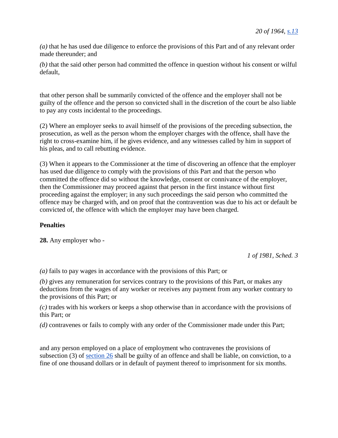*(a)* that he has used due diligence to enforce the provisions of this Part and of any relevant order made thereunder; and

*(b)* that the said other person had committed the offence in question without his consent or wilful default,

that other person shall be summarily convicted of the offence and the employer shall not be guilty of the offence and the person so convicted shall in the discretion of the court be also liable to pay any costs incidental to the proceedings.

(2) Where an employer seeks to avail himself of the provisions of the preceding subsection, the prosecution, as well as the person whom the employer charges with the offence, shall have the right to cross-examine him, if he gives evidence, and any witnesses called by him in support of his pleas, and to call rebutting evidence.

(3) When it appears to the Commissioner at the time of discovering an offence that the employer has used due diligence to comply with the provisions of this Part and that the person who committed the offence did so without the knowledge, consent or connivance of the employer, then the Commissioner may proceed against that person in the first instance without first proceeding against the employer; in any such proceedings the said person who committed the offence may be charged with, and on proof that the contravention was due to his act or default be convicted of, the offence with which the employer may have been charged.

# **Penalties**

**28.** Any employer who -

*1 of 1981, Sched. 3*

*(a)* fails to pay wages in accordance with the provisions of this Part; or

*(b)* gives any remuneration for services contrary to the provisions of this Part, or makes any deductions from the wages of any worker or receives any payment from any worker contrary to the provisions of this Part; or

*(c)* trades with his workers or keeps a shop otherwise than in accordance with the provisions of this Part; or

*(d)* contravenes or fails to comply with any order of the Commissioner made under this Part;

and any person employed on a place of employment who contravenes the provisions of subsection (3) of [section 26](http://www.paclii.org/sb/legis/consol_act/cpc190/index.html#s26) shall be guilty of an offence and shall be liable, on conviction, to a fine of one thousand dollars or in default of payment thereof to imprisonment for six months.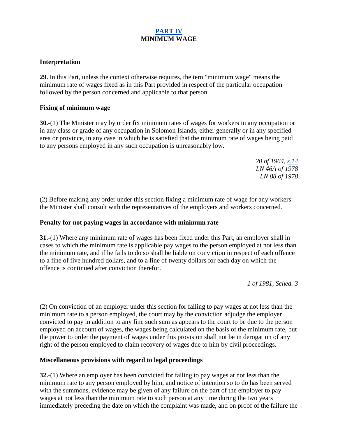### **[PART IV](http://www.paclii.org/sb/legis/consol_act/cpc190/index.html#p4) MINIMUM WAGE**

### **Interpretation**

**29.** In this Part, unless the context otherwise requires, the tern "minimum wage" means the minimum rate of wages fixed as in this Part provided in respect of the particular occupation followed by the person concerned and applicable to that person.

### **Fixing of minimum wage**

**30.**-(1) The Minister may by order fix minimum rates of wages for workers in any occupation or in any class or grade of any occupation in Solomon Islands, either generally or in any specified area or province, in any case in which he is satisfied that the minimum rate of wages being paid to any persons employed in any such occupation is unreasonably low.

> *20 of 1964, [s.14](http://www.paclii.org/sb/legis/consol_act/cpc190/index.html#s14) LN 46A of 1978 LN 88 of 1978*

(2) Before making any order under this section fixing a minimum rate of wage for any workers the Minister shall consult with the representatives of the employers and workers concerned.

### **Penalty for not paying wages in accordance with minimum rate**

**31.**-(1) Where any minimum rate of wages has been fixed under this Part, an employer shall in cases to which the minimum rate is applicable pay wages to the person employed at not less than the minimum rate, and if he fails to do so shall be liable on conviction in respect of each offence to a fine of five hundred dollars, and to a fine of twenty dollars for each day on which the offence is continued after conviction therefor.

*1 of 1981, Sched. 3*

(2) On conviction of an employer under this section for failing to pay wages at not less than the minimum rate to a person employed, the court may by the conviction adjudge the employer convicted to pay in addition to any fine such sum as appears to the court to be due to the person employed on account of wages, the wages being calculated on the basis of the minimum rate, but the power to order the payment of wages under this provision shall not be in derogation of any right of the person employed to claim recovery of wages due to him by civil proceedings.

# **Miscellaneous provisions with regard to legal proceedings**

**32.**-(1) Where an employer has been convicted for failing to pay wages at not less than the minimum rate to any person employed by him, and notice of intention so to do has been served with the summons, evidence may be given of any failure on the part of the employer to pay wages at not less than the minimum rate to such person at any time during the two years immediately preceding the date on which the complaint was made, and on proof of the failure the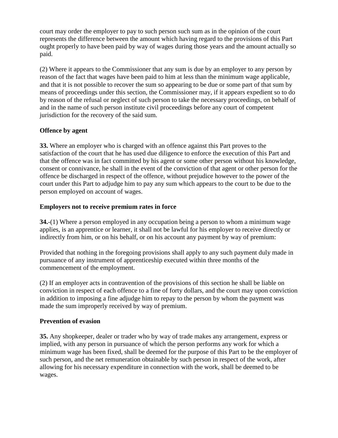court may order the employer to pay to such person such sum as in the opinion of the court represents the difference between the amount which having regard to the provisions of this Part ought properly to have been paid by way of wages during those years and the amount actually so paid.

(2) Where it appears to the Commissioner that any sum is due by an employer to any person by reason of the fact that wages have been paid to him at less than the minimum wage applicable, and that it is not possible to recover the sum so appearing to be due or some part of that sum by means of proceedings under this section, the Commissioner may, if it appears expedient so to do by reason of the refusal or neglect of such person to take the necessary proceedings, on behalf of and in the name of such person institute civil proceedings before any court of competent jurisdiction for the recovery of the said sum.

# **Offence by agent**

**33.** Where an employer who is charged with an offence against this Part proves to the satisfaction of the court that he has used due diligence to enforce the execution of this Part and that the offence was in fact committed by his agent or some other person without his knowledge, consent or connivance, he shall in the event of the conviction of that agent or other person for the offence be discharged in respect of the offence, without prejudice however to the power of the court under this Part to adjudge him to pay any sum which appears to the court to be due to the person employed on account of wages.

# **Employers not to receive premium rates in force**

**34.**-(1) Where a person employed in any occupation being a person to whom a minimum wage applies, is an apprentice or learner, it shall not be lawful for his employer to receive directly or indirectly from him, or on his behalf, or on his account any payment by way of premium:

Provided that nothing in the foregoing provisions shall apply to any such payment duly made in pursuance of any instrument of apprenticeship executed within three months of the commencement of the employment.

(2) If an employer acts in contravention of the provisions of this section he shall be liable on conviction in respect of each offence to a fine of forty dollars, and the court may upon conviction in addition to imposing a fine adjudge him to repay to the person by whom the payment was made the sum improperly received by way of premium.

# **Prevention of evasion**

**35.** Any shopkeeper, dealer or trader who by way of trade makes any arrangement, express or implied, with any person in pursuance of which the person performs any work for which a minimum wage has been fixed, shall be deemed for the purpose of this Part to be the employer of such person, and the net remuneration obtainable by such person in respect of the work, after allowing for his necessary expenditure in connection with the work, shall be deemed to be wages.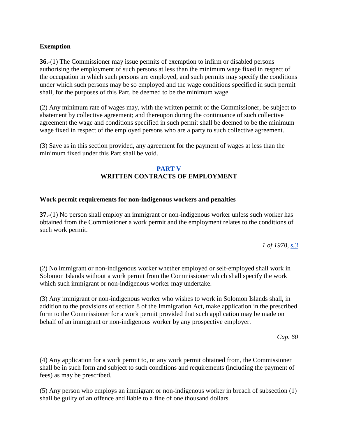### **Exemption**

**36.**-(1) The Commissioner may issue permits of exemption to infirm or disabled persons authorising the employment of such persons at less than the minimum wage fixed in respect of the occupation in which such persons are employed, and such permits may specify the conditions under which such persons may be so employed and the wage conditions specified in such permit shall, for the purposes of this Part, be deemed to be the minimum wage.

(2) Any minimum rate of wages may, with the written permit of the Commissioner, be subject to abatement by collective agreement; and thereupon during the continuance of such collective agreement the wage and conditions specified in such permit shall be deemed to be the minimum wage fixed in respect of the employed persons who are a party to such collective agreement.

(3) Save as in this section provided, any agreement for the payment of wages at less than the minimum fixed under this Part shall be void.

# **[PART V](http://www.paclii.org/sb/legis/consol_act/cpc190/index.html#p5) WRITTEN CONTRACTS OF EMPLOYMENT**

### **Work permit requirements for non-indigenous workers and penalties**

**37.**-(1) No person shall employ an immigrant or non-indigenous worker unless such worker has obtained from the Commissioner a work permit and the employment relates to the conditions of such work permit.

*1 of 1978, [s.3](http://www.paclii.org/sb/legis/consol_act/cpc190/index.html#s3)*

(2) No immigrant or non-indigenous worker whether employed or self-employed shall work in Solomon Islands without a work permit from the Commissioner which shall specify the work which such immigrant or non-indigenous worker may undertake.

(3) Any immigrant or non-indigenous worker who wishes to work in Solomon Islands shall, in addition to the provisions of section 8 of the Immigration Act, make application in the prescribed form to the Commissioner for a work permit provided that such application may be made on behalf of an immigrant or non-indigenous worker by any prospective employer.

*Cap. 60*

(4) Any application for a work permit to, or any work permit obtained from, the Commissioner shall be in such form and subject to such conditions and requirements (including the payment of fees) as may be prescribed.

(5) Any person who employs an immigrant or non-indigenous worker in breach of subsection (1) shall be guilty of an offence and liable to a fine of one thousand dollars.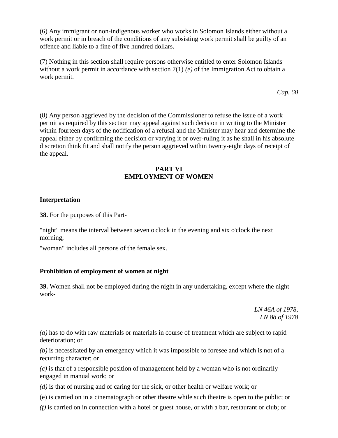(6) Any immigrant or non-indigenous worker who works in Solomon Islands either without a work permit or in breach of the conditions of any subsisting work permit shall be guilty of an offence and liable to a fine of five hundred dollars.

(7) Nothing in this section shall require persons otherwise entitled to enter Solomon Islands without a work permit in accordance with section 7(1) *(e)* of the Immigration Act to obtain a work permit.

*Cap. 60*

(8) Any person aggrieved by the decision of the Commissioner to refuse the issue of a work permit as required by this section may appeal against such decision in writing to the Minister within fourteen days of the notification of a refusal and the Minister may hear and determine the appeal either by confirming the decision or varying it or over-ruling it as he shall in his absolute discretion think fit and shall notify the person aggrieved within twenty-eight days of receipt of the appeal.

### **PART VI EMPLOYMENT OF WOMEN**

### **Interpretation**

**38.** For the purposes of this Part-

"night" means the interval between seven o'clock in the evening and six o'clock the next morning;

"woman" includes all persons of the female sex.

# **Prohibition of employment of women at night**

**39.** Women shall not be employed during the night in any undertaking, except where the night work-

> *LN 46A of 1978, LN 88 of 1978*

*(a)* has to do with raw materials or materials in course of treatment which are subject to rapid deterioration; or

*(b)* is necessitated by an emergency which it was impossible to foresee and which is not of a recurring character; or

*(c)* is that of a responsible position of management held by a woman who is not ordinarily engaged in manual work; or

*(d)* is that of nursing and of caring for the sick, or other health or welfare work; or

(e) is carried on in a cinematograph or other theatre while such theatre is open to the public; or

*(f)* is carried on in connection with a hotel or guest house, or with a bar, restaurant or club; or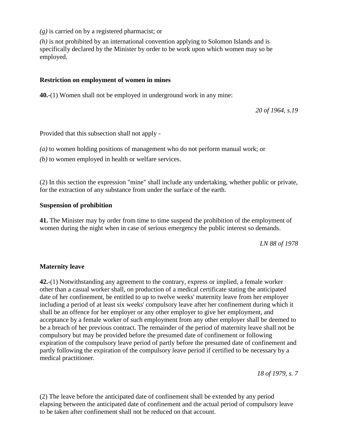*(g)* is carried on by a registered pharmacist; or

*(h)* is not prohibited by an international convention applying to Solomon Islands and is specifically declared by the Minister by order to be work upon which women may so be employed.

### **Restriction on employment of women in mines**

**40.**-(1) Women shall not be employed in underground work in any mine:

*20 of 1964, s.19*

Provided that this subsection shall not apply -

*(a)* to women holding positions of management who do not perform manual work; or

*(b)* to women employed in health or welfare services.

(2) In this section the expression "mine" shall include any undertaking, whether public or private, for the extraction of any substance from under the surface of the earth.

### **Suspension of prohibition**

**41.** The Minister may by order from time to time suspend the prohibition of the employment of women during the night when in case of serious emergency the public interest so demands.

*LN 88 of 1978*

### **Maternity leave**

**42.**-(1) Notwithstanding any agreement to the contrary, express or implied, a female worker other than a casual worker shall, on production of a medical certificate stating the anticipated date of her confinement, be entitled to up to twelve weeks' maternity leave from her employer including a period of at least six weeks' compulsory leave after her confinement during which it shall be an offence for her employer or any other employer to give her employment, and acceptance by a female worker of such employment from any other employer shall be deemed to be a breach of her previous contract. The remainder of the period of maternity leave shall not be compulsory but may be provided before the presumed date of confinement or following expiration of the compulsory leave period of partly before the presumed date of confinement and partly following the expiration of the compulsory leave period if certified to be necessary by a medical practitioner.

*18 of 1979, s. 7*

(2) The leave before the anticipated date of confinement shall be extended by any period elapsing between the anticipated date of confinement and the actual period of compulsory leave to be taken after confinement shall not be reduced on that account.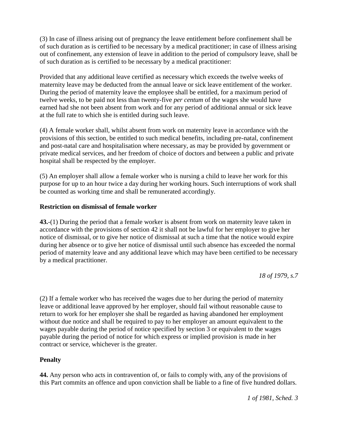(3) In case of illness arising out of pregnancy the leave entitlement before confinement shall be of such duration as is certified to be necessary by a medical practitioner; in case of illness arising out of confinement, any extension of leave in addition to the period of compulsory leave, shall be of such duration as is certified to be necessary by a medical practitioner:

Provided that any additional leave certified as necessary which exceeds the twelve weeks of maternity leave may be deducted from the annual leave or sick leave entitlement of the worker. During the period of maternity leave the employee shall be entitled, for a maximum period of twelve weeks, to be paid not less than twenty-five *per centum* of the wages she would have earned had she not been absent from work and for any period of additional annual or sick leave at the full rate to which she is entitled during such leave.

(4) A female worker shall, whilst absent from work on maternity leave in accordance with the provisions of this section, be entitled to such medical benefits, including pre-natal, confinement and post-natal care and hospitalisation where necessary, as may be provided by government or private medical services, and her freedom of choice of doctors and between a public and private hospital shall be respected by the employer.

(5) An employer shall allow a female worker who is nursing a child to leave her work for this purpose for up to an hour twice a day during her working hours. Such interruptions of work shall be counted as working time and shall be remunerated accordingly.

# **Restriction on dismissal of female worker**

**43.**-(1) During the period that a female worker is absent from work on maternity leave taken in accordance with the provisions of section 42 it shall not be lawful for her employer to give her notice of dismissal, or to give her notice of dismissal at such a time that the notice would expire during her absence or to give her notice of dismissal until such absence has exceeded the normal period of maternity leave and any additional leave which may have been certified to be necessary by a medical practitioner.

*18 of 1979, s.7*

(2) If a female worker who has received the wages due to her during the period of maternity leave or additional leave approved by her employer, should fail without reasonable cause to return to work for her employer she shall be regarded as having abandoned her employment without due notice and shall be required to pay to her employer an amount equivalent to the wages payable during the period of notice specified by section 3 or equivalent to the wages payable during the period of notice for which express or implied provision is made in her contract or service, whichever is the greater.

# **Penalty**

**44.** Any person who acts in contravention of, or fails to comply with, any of the provisions of this Part commits an offence and upon conviction shall be liable to a fine of five hundred dollars.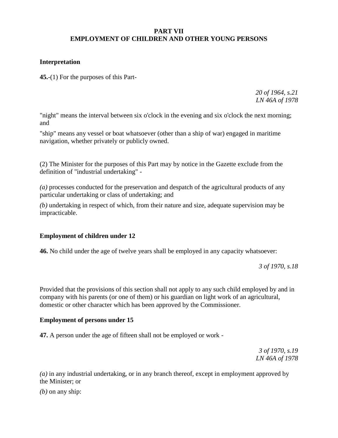### **PART VII EMPLOYMENT OF CHILDREN AND OTHER YOUNG PERSONS**

### **Interpretation**

**45.**-(1) For the purposes of this Part-

*20 of 1964, s.21 LN 46A of 1978*

"night" means the interval between six o'clock in the evening and six o'clock the next morning; and

"ship" means any vessel or boat whatsoever (other than a ship of war) engaged in maritime navigation, whether privately or publicly owned.

(2) The Minister for the purposes of this Part may by notice in the Gazette exclude from the definition of "industrial undertaking" -

*(a)* processes conducted for the preservation and despatch of the agricultural products of any particular undertaking or class of undertaking; and

*(b)* undertaking in respect of which, from their nature and size, adequate supervision may be impracticable.

# **Employment of children under 12**

**46.** No child under the age of twelve years shall be employed in any capacity whatsoever:

*3 of 1970, s.18*

Provided that the provisions of this section shall not apply to any such child employed by and in company with his parents (or one of them) or his guardian on light work of an agricultural, domestic or other character which has been approved by the Commissioner.

### **Employment of persons under 15**

**47.** A person under the age of fifteen shall not be employed or work -

*3 of 1970, s.19 LN 46A of 1978*

*(a)* in any industrial undertaking, or in any branch thereof, except in employment approved by the Minister; or

*(b)* on any ship: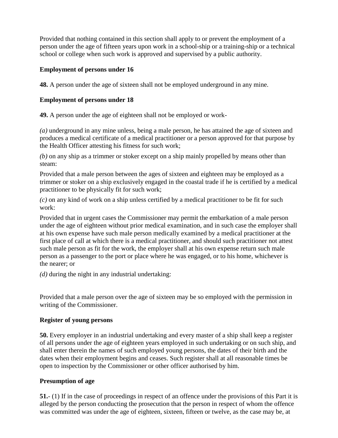Provided that nothing contained in this section shall apply to or prevent the employment of a person under the age of fifteen years upon work in a school-ship or a training-ship or a technical school or college when such work is approved and supervised by a public authority.

# **Employment of persons under 16**

**48.** A person under the age of sixteen shall not be employed underground in any mine.

# **Employment of persons under 18**

**49.** A person under the age of eighteen shall not be employed or work-

*(a)* underground in any mine unless, being a male person, he has attained the age of sixteen and produces a medical certificate of a medical practitioner or a person approved for that purpose by the Health Officer attesting his fitness for such work;

*(b)* on any ship as a trimmer or stoker except on a ship mainly propelled by means other than steam:

Provided that a male person between the ages of sixteen and eighteen may be employed as a trimmer or stoker on a ship exclusively engaged in the coastal trade if he is certified by a medical practitioner to be physically fit for such work;

*(c)* on any kind of work on a ship unless certified by a medical practitioner to be fit for such work:

Provided that in urgent cases the Commissioner may permit the embarkation of a male person under the age of eighteen without prior medical examination, and in such case the employer shall at his own expense have such male person medically examined by a medical practitioner at the first place of call at which there is a medical practitioner, and should such practitioner not attest such male person as fit for the work, the employer shall at his own expense return such male person as a passenger to the port or place where he was engaged, or to his home, whichever is the nearer; or

*(d)* during the night in any industrial undertaking:

Provided that a male person over the age of sixteen may be so employed with the permission in writing of the Commissioner.

# **Register of young persons**

**50.** Every employer in an industrial undertaking and every master of a ship shall keep a register of all persons under the age of eighteen years employed in such undertaking or on such ship, and shall enter therein the names of such employed young persons, the dates of their birth and the dates when their employment begins and ceases. Such register shall at all reasonable times be open to inspection by the Commissioner or other officer authorised by him.

# **Presumption of age**

**51.**- (1) If in the case of proceedings in respect of an offence under the provisions of this Part it is alleged by the person conducting the prosecution that the person in respect of whom the offence was committed was under the age of eighteen, sixteen, fifteen or twelve, as the case may be, at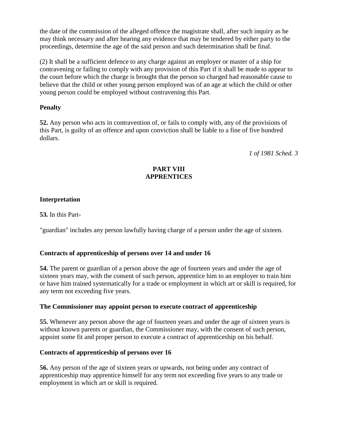the date of the commission of the alleged offence the magistrate shall, after such inquiry as he may think necessary and after hearing any evidence that may be tendered by either party to the proceedings, determine the age of the said person and such determination shall be final.

(2) It shall be a sufficient defence to any charge against an employer or master of a ship for contravening or failing to comply with any provision of this Part if it shall be made to appear to the court before which the charge is brought that the person so charged had reasonable cause to believe that the child or other young person employed was of an age at which the child or other young person could be employed without contravening this Part.

# **Penalty**

**52.** Any person who acts in contravention of, or fails to comply with, any of the provisions of this Part, is guilty of an offence and upon conviction shall be liable to a fine of five hundred dollars.

*1 of 1981 Sched. 3*

# **PART VIII APPRENTICES**

# **Interpretation**

**53.** In this Part-

"guardian" includes any person lawfully having charge of a person under the age of sixteen.

# **Contracts of apprenticeship of persons over 14 and under 16**

**54.** The parent or guardian of a person above the age of fourteen years and under the age of sixteen years may, with the consent of such person, apprentice him to an employer to train him or have him trained systematically for a trade or employment in which art or skill is required, for any term not exceeding five years.

# **The Commissioner may appoint person to execute contract of apprenticeship**

**55.** Whenever any person above the age of fourteen years and under the age of sixteen years is without known parents or guardian, the Commissioner may, with the consent of such person, appoint some fit and proper person to execute a contract of apprenticeship on his behalf.

# **Contracts of apprenticeship of persons over 16**

**56.** Any person of the age of sixteen years or upwards, not being under any contract of apprenticeship may apprentice himself for any term not exceeding five years to any trade or employment in which art or skill is required.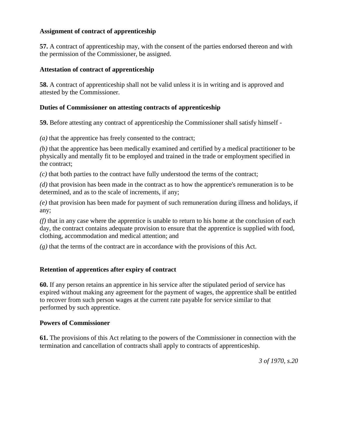### **Assignment of contract of apprenticeship**

**57.** A contract of apprenticeship may, with the consent of the parties endorsed thereon and with the permission of the Commissioner, be assigned.

### **Attestation of contract of apprenticeship**

**58.** A contract of apprenticeship shall not be valid unless it is in writing and is approved and attested by the Commissioner.

### **Duties of Commissioner on attesting contracts of apprenticeship**

**59.** Before attesting any contract of apprenticeship the Commissioner shall satisfy himself -

*(a)* that the apprentice has freely consented to the contract;

*(b)* that the apprentice has been medically examined and certified by a medical practitioner to be physically and mentally fit to be employed and trained in the trade or employment specified in the contract;

*(c)* that both parties to the contract have fully understood the terms of the contract;

*(d)* that provision has been made in the contract as to how the apprentice's remuneration is to be determined, and as to the scale of increments, if any;

*(e)* that provision has been made for payment of such remuneration during illness and holidays, if any;

*(f)* that in any case where the apprentice is unable to return to his home at the conclusion of each day, the contract contains adequate provision to ensure that the apprentice is supplied with food, clothing, accommodation and medical attention; and

*(g)* that the terms of the contract are in accordance with the provisions of this Act.

# **Retention of apprentices after expiry of contract**

**60.** If any person retains an apprentice in his service after the stipulated period of service has expired without making any agreement for the payment of wages, the apprentice shall be entitled to recover from such person wages at the current rate payable for service similar to that performed by such apprentice.

### **Powers of Commissioner**

**61.** The provisions of this Act relating to the powers of the Commissioner in connection with the termination and cancellation of contracts shall apply to contracts of apprenticeship.

*3 of 1970, s.20*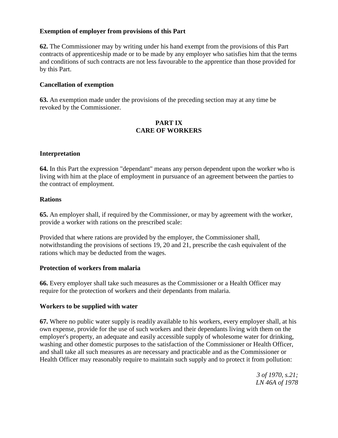### **Exemption of employer from provisions of this Part**

**62.** The Commissioner may by writing under his hand exempt from the provisions of this Part contracts of apprenticeship made or to be made by any employer who satisfies him that the terms and conditions of such contracts are not less favourable to the apprentice than those provided for by this Part.

### **Cancellation of exemption**

**63.** An exemption made under the provisions of the preceding section may at any time be revoked by the Commissioner.

### **PART IX CARE OF WORKERS**

### **Interpretation**

**64.** In this Part the expression "dependant" means any person dependent upon the worker who is living with him at the place of employment in pursuance of an agreement between the parties to the contract of employment.

### **Rations**

**65.** An employer shall, if required by the Commissioner, or may by agreement with the worker, provide a worker with rations on the prescribed scale:

Provided that where rations are provided by the employer, the Commissioner shall, notwithstanding the provisions of sections 19, 20 and 21, prescribe the cash equivalent of the rations which may be deducted from the wages.

### **Protection of workers from malaria**

**66.** Every employer shall take such measures as the Commissioner or a Health Officer may require for the protection of workers and their dependants from malaria.

### **Workers to be supplied with water**

**67.** Where no public water supply is readily available to his workers, every employer shall, at his own expense, provide for the use of such workers and their dependants living with them on the employer's property, an adequate and easily accessible supply of wholesome water for drinking, washing and other domestic purposes to the satisfaction of the Commissioner or Health Officer, and shall take all such measures as are necessary and practicable and as the Commissioner or Health Officer may reasonably require to maintain such supply and to protect it from pollution:

> *3 of 1970, s.21; LN 46A of 1978*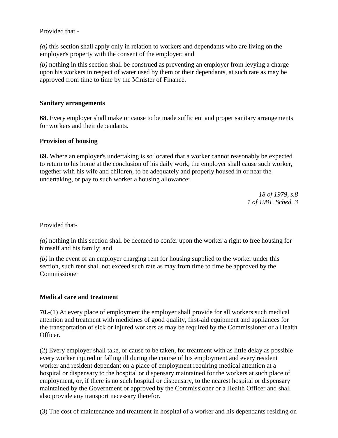### Provided that -

*(a)* this section shall apply only in relation to workers and dependants who are living on the employer's property with the consent of the employer; and

*(b)* nothing in this section shall be construed as preventing an employer from levying a charge upon his workers in respect of water used by them or their dependants, at such rate as may be approved from time to time by the Minister of Finance.

### **Sanitary arrangements**

**68.** Every employer shall make or cause to be made sufficient and proper sanitary arrangements for workers and their dependants.

### **Provision of housing**

**69.** Where an employer's undertaking is so located that a worker cannot reasonably be expected to return to his home at the conclusion of his daily work, the employer shall cause such worker, together with his wife and children, to be adequately and properly housed in or near the undertaking, or pay to such worker a housing allowance:

> *18 of 1979, s.8 1 of 1981, Sched. 3*

Provided that-

*(a)* nothing in this section shall be deemed to confer upon the worker a right to free housing for himself and his family; and

*(b)* in the event of an employer charging rent for housing supplied to the worker under this section, such rent shall not exceed such rate as may from time to time be approved by the Commissioner

# **Medical care and treatment**

**70.**-(1) At every place of employment the employer shall provide for all workers such medical attention and treatment with medicines of good quality, first-aid equipment and appliances for the transportation of sick or injured workers as may be required by the Commissioner or a Health Officer.

(2) Every employer shall take, or cause to be taken, for treatment with as little delay as possible every worker injured or falling ill during the course of his employment and every resident worker and resident dependant on a place of employment requiring medical attention at a hospital or dispensary to the hospital or dispensary maintained for the workers at such place of employment, or, if there is no such hospital or dispensary, to the nearest hospital or dispensary maintained by the Government or approved by the Commissioner or a Health Officer and shall also provide any transport necessary therefor.

(3) The cost of maintenance and treatment in hospital of a worker and his dependants residing on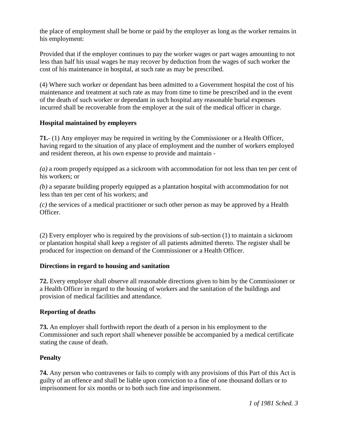the place of employment shall be borne or paid by the employer as long as the worker remains in his employment:

Provided that if the employer continues to pay the worker wages or part wages amounting to not less than half his usual wages he may recover by deduction from the wages of such worker the cost of his maintenance in hospital, at such rate as may be prescribed.

(4) Where such worker or dependant has been admitted to a Government hospital the cost of his maintenance and treatment at such rate as may from time to time be prescribed and in the event of the death of such worker or dependant in such hospital any reasonable burial expenses incurred shall be recoverable from the employer at the suit of the medical officer in charge.

# **Hospital maintained by employers**

**71.**- (1) Any employer may be required in writing by the Commissioner or a Health Officer, having regard to the situation of any place of employment and the number of workers employed and resident thereon, at his own expense to provide and maintain -

*(a)* a room properly equipped as a sickroom with accommodation for not less than ten per cent of his workers; or

*(b)* a separate building properly equipped as a plantation hospital with accommodation for not less than ten per cent of his workers; and

*(c)* the services of a medical practitioner or such other person as may be approved by a Health Officer.

(2) Every employer who is required by the provisions of sub-section (1) to maintain a sickroom or plantation hospital shall keep a register of all patients admitted thereto. The register shall be produced for inspection on demand of the Commissioner or a Health Officer.

# **Directions in regard to housing and sanitation**

**72.** Every employer shall observe all reasonable directions given to him by the Commissioner or a Health Officer in regard to the housing of workers and the sanitation of the buildings and provision of medical facilities and attendance.

### **Reporting of deaths**

**73.** An employer shall forthwith report the death of a person in his employment to the Commissioner and such report shall whenever possible be accompanied by a medical certificate stating the cause of death.

# **Penalty**

**74.** Any person who contravenes or fails to comply with any provisions of this Part of this Act is guilty of an offence and shall be liable upon conviction to a fine of one thousand dollars or to imprisonment for six months or to both such fine and imprisonment.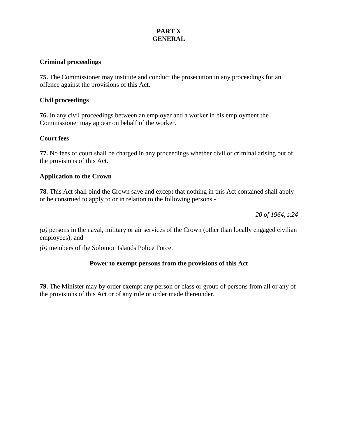# **PART X GENERAL**

### **Criminal proceedings**

**75.** The Commissioner may institute and conduct the prosecution in any proceedings for an offence against the provisions of this Act.

### **Civil proceedings**

**76.** In any civil proceedings between an employer and a worker in his employment the Commissioner may appear on behalf of the worker.

### **Court fees**

**77.** No fees of court shall be charged in any proceedings whether civil or criminal arising out of the provisions of this Act.

### **Application to the Crown**

**78.** This Act shall bind the Crown save and except that nothing in this Act contained shall apply or be construed to apply to or in relation to the following persons -

*20 of 1964, s.24*

*(a)* persons in the naval, military or air services of the Crown (other than locally engaged civilian employees); and

*(b)* members of the Solomon Islands Police Force.

### **Power to exempt persons from the provisions of this Act**

**79.** The Minister may by order exempt any person or class or group of persons from all or any of the provisions of this Act or of any rule or order made thereunder.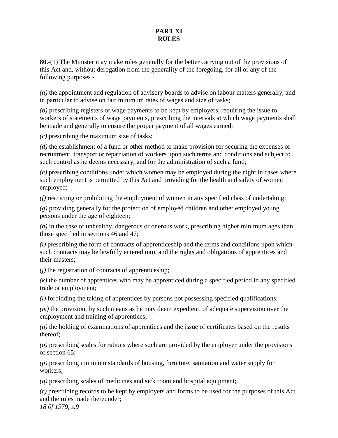### **PART XI RULES**

**80.**-(1) The Minister may make rules generally for the better carrying out of the provisions of this Act and, without derogation from the generality of the foregoing, for all or any of the following purposes -

*(a)* the appointment and regulation of advisory boards to advise on labour matters generally, and in particular to advise on fair minimum rates of wages and size of tasks;

*(b)* prescribing registers of wage payments to be kept by employers, requiring the issue to workers of statements of wage payments, prescribing the intervals at which wage payments shall be made and generally to ensure the proper payment of all wages earned;

*(c)* prescribing the maximum size of tasks;

*(d)* the establishment of a fund or other method to make provision for securing the expenses of recruitment, transport or repatriation of workers upon such terms and conditions and subject to such control as he deems necessary, and for the administration of such a fund;

*(e)* prescribing conditions under which women may be employed during the night in cases where such employment is permitted by this Act and providing for the health and safety of women employed;

*(f)* restricting or prohibiting the employment of women in any specified class of undertaking;

*(g)* providing generally for the protection of employed children and other employed young persons under the age of eighteen;

*(h)* in the case of unhealthy, dangerous or onerous work, prescribing higher minimum ages than those specified in sections 46 and 47;

*(i)* prescribing the form of contracts of apprenticeship and the terms and conditions upon which such contracts may be lawfully entered into, and the rights and obligations of apprentices and their masters;

*(j)* the registration of contracts of apprenticeship;

*(k)* the number of apprentices who may be apprenticed during a specified period in any specified trade or employment;

*(l)* forbidding the taking of apprentices by persons not possessing specified qualifications;

*(m)* the provision, by such means as he may deem expedient, of adequate supervision over the employment and training of apprentices;

*(n)* the holding of examinations of apprentices and the issue of certificates based on the results thereof;

*(o)* prescribing scales for rations where such are provided by the employer under the provisions of section 65;

*(p)* prescribing minimum standards of housing, furniture, sanitation and water supply for workers;

*(q)* prescribing scales of medicines and sick room and hospital equipment;

*(r)* prescribing records to be kept by employers and forms to be used for the purposes of this Act and the rules made thereunder; *18 0f 1979, s.9*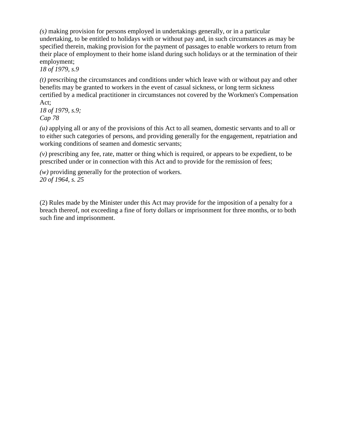*(s)* making provision for persons employed in undertakings generally, or in a particular undertaking, to be entitled to holidays with or without pay and, in such circumstances as may be specified therein, making provision for the payment of passages to enable workers to return from their place of employment to their home island during such holidays or at the termination of their employment;

*18 of 1979, s.9*

*(t)* prescribing the circumstances and conditions under which leave with or without pay and other benefits may be granted to workers in the event of casual sickness, or long term sickness certified by a medical practitioner in circumstances not covered by the Workmen's Compensation Act;

*18 of 1979, s.9; Cap 78*

*(u)* applying all or any of the provisions of this Act to all seamen, domestic servants and to all or to either such categories of persons, and providing generally for the engagement, repatriation and working conditions of seamen and domestic servants;

*(v)* prescribing any fee, rate, matter or thing which is required, or appears to be expedient, to be prescribed under or in connection with this Act and to provide for the remission of fees;

*(w)* providing generally for the protection of workers. *20 of 1964, s. 25*

(2) Rules made by the Minister under this Act may provide for the imposition of a penalty for a breach thereof, not exceeding a fine of forty dollars or imprisonment for three months, or to both such fine and imprisonment.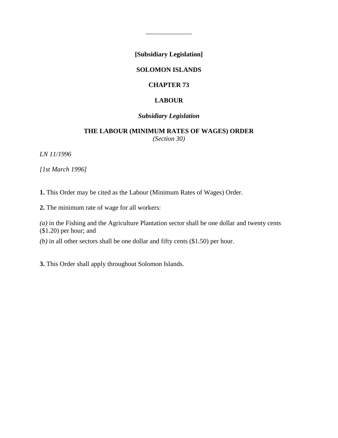**[Subsidiary Legislation]**

\_\_\_\_\_\_\_\_\_\_\_\_\_\_

### **SOLOMON ISLANDS**

#### **CHAPTER 73**

### **LABOUR**

### *Subsidiary Legislation*

### **THE LABOUR (MINIMUM RATES OF WAGES) ORDER** *(Section 30)*

*LN 11/1996*

*[1st March 1996]*

**1.** This Order may be cited as the Labour (Minimum Rates of Wages) Order.

**2.** The minimum rate of wage for all workers:

*(a)* in the Fishing and the Agriculture Plantation sector shall be one dollar and twenty cents (\$1.20) per hour; and

*(b)* in all other sectors shall be one dollar and fifty cents (\$1.50) per hour.

**3.** This Order shall apply throughout Solomon Islands.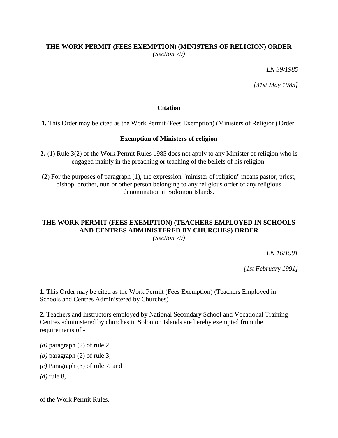# **THE WORK PERMIT (FEES EXEMPTION) (MINISTERS OF RELIGION) ORDER** *(Section 79)*

\_\_\_\_\_\_\_\_\_\_\_

*LN 39/1985*

*[31st May 1985]*

#### **Citation**

**1.** This Order may be cited as the Work Permit (Fees Exemption) (Ministers of Religion) Order.

#### **Exemption of Ministers of religion**

**2.**-(1) Rule 3(2) of the Work Permit Rules 1985 does not apply to any Minister of religion who is engaged mainly in the preaching or teaching of the beliefs of his religion.

(2) For the purposes of paragraph (1), the expression "minister of religion" means pastor, priest, bishop, brother, nun or other person belonging to any religious order of any religious denomination in Solomon Islands.

# T**HE WORK PERMIT (FEES EXEMPTION) (TEACHERS EMPLOYED IN SCHOOLS AND CENTRES ADMINISTERED BY CHURCHES) ORDER**

\_\_\_\_\_\_\_\_\_\_\_\_\_\_

*(Section 79)*

*LN 16/1991*

*[1st February 1991]*

**1.** This Order may be cited as the Work Permit (Fees Exemption) (Teachers Employed in Schools and Centres Administered by Churches)

**2.** Teachers and Instructors employed by National Secondary School and Vocational Training Centres administered by churches in Solomon Islands are hereby exempted from the requirements of -

*(a)* paragraph (2) of rule 2;

*(b)* paragraph (2) of rule 3;

- *(c)* Paragraph (3) of rule 7; and
- *(d)* rule 8,

of the Work Permit Rules.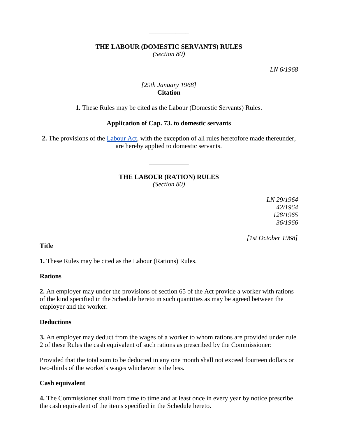# **THE LABOUR (DOMESTIC SERVANTS) RULES**

\_\_\_\_\_\_\_\_\_\_\_\_

*(Section 80)*

*LN 6/1968*

# *[29th January 1968]* **Citation**

**1.** These Rules may be cited as the Labour (Domestic Servants) Rules.

# **Application of Cap. 73. to domestic servants**

**2.** The provisions of the [Labour Act,](http://www.paclii.org/sb/legis/consol_act/la84/) with the exception of all rules heretofore made thereunder, are hereby applied to domestic servants.

# **THE LABOUR (RATION) RULES**

\_\_\_\_\_\_\_\_\_\_\_\_

*(Section 80)*

*LN 29/1964 42/1964 128/1965 36/1966*

 *[1st October 1968]*

**Title**

**1.** These Rules may be cited as the Labour (Rations) Rules.

# **Rations**

**2.** An employer may under the provisions of section 65 of the Act provide a worker with rations of the kind specified in the Schedule hereto in such quantities as may be agreed between the employer and the worker.

# **Deductions**

**3.** An employer may deduct from the wages of a worker to whom rations are provided under rule 2 of these Rules the cash equivalent of such rations as prescribed by the Commissioner:

Provided that the total sum to be deducted in any one month shall not exceed fourteen dollars or two-thirds of the worker's wages whichever is the less.

# **Cash equivalent**

**4.** The Commissioner shall from time to time and at least once in every year by notice prescribe the cash equivalent of the items specified in the Schedule hereto.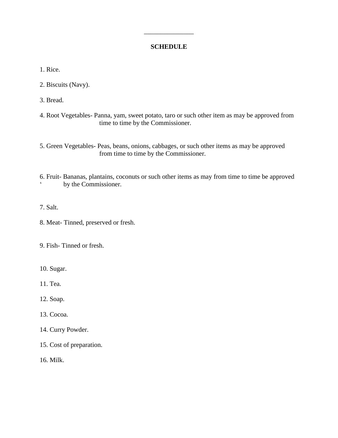# **SCHEDULE**

\_\_\_\_\_\_\_\_\_\_\_\_\_\_\_

1. Rice.

2. Biscuits (Navy).

3. Bread.

4. Root Vegetables- Panna, yam, sweet potato, taro or such other item as may be approved from time to time by the Commissioner.

5. Green Vegetables- Peas, beans, onions, cabbages, or such other items as may be approved from time to time by the Commissioner.

6. Fruit- Bananas, plantains, coconuts or such other items as may from time to time be approved by the Commissioner.

- 7. Salt.
- 8. Meat- Tinned, preserved or fresh.

9. Fish- Tinned or fresh.

10. Sugar.

11. Tea.

12. Soap.

13. Cocoa.

- 14. Curry Powder.
- 15. Cost of preparation.

16. Milk.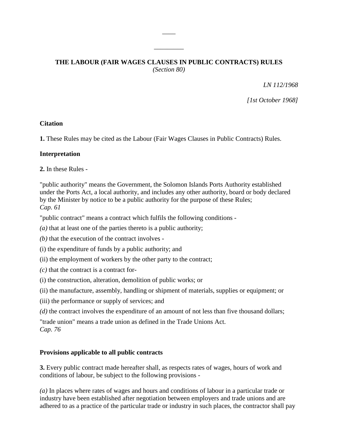# **THE LABOUR (FAIR WAGES CLAUSES IN PUBLIC CONTRACTS) RULES** *(Section 80)*

 $\overline{\phantom{a}}$ 

\_\_\_\_\_\_\_\_\_

*LN 112/1968*

*[1st October 1968]*

### **Citation**

**1.** These Rules may be cited as the Labour (Fair Wages Clauses in Public Contracts) Rules.

### **Interpretation**

**2.** In these Rules -

"public authority" means the Government, the Solomon Islands Ports Authority established under the Ports Act, a local authority, and includes any other authority, board or body declared by the Minister by notice to be a public authority for the purpose of these Rules; *Cap. 61*

"public contract" means a contract which fulfils the following conditions -

- *(a)* that at least one of the parties thereto is a public authority;
- *(b)* that the execution of the contract involves -
- (i) the expenditure of funds by a public authority; and
- (ii) the employment of workers by the other party to the contract;
- *(c)* that the contract is a contract for-
- (i) the construction, alteration, demolition of public works; or
- (ii) the manufacture, assembly, handling or shipment of materials, supplies or equipment; or
- (iii) the performance or supply of services; and
- *(d)* the contract involves the expenditure of an amount of not less than five thousand dollars;

"trade union" means a trade union as defined in the Trade Unions Act. *Cap. 76*

### **Provisions applicable to all public contracts**

**3.** Every public contract made hereafter shall, as respects rates of wages, hours of work and conditions of labour, be subject to the following provisions -

*(a)* In places where rates of wages and hours and conditions of labour in a particular trade or industry have been established after negotiation between employers and trade unions and are adhered to as a practice of the particular trade or industry in such places, the contractor shall pay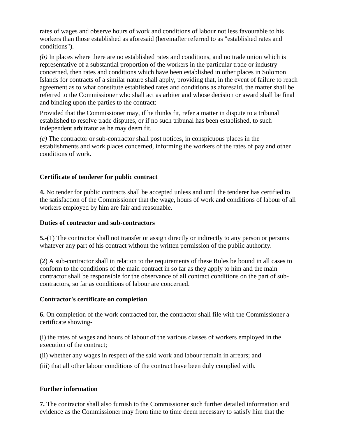rates of wages and observe hours of work and conditions of labour not less favourable to his workers than those established as aforesaid (hereinafter referred to as "established rates and conditions").

*(b)* In places where there are no established rates and conditions, and no trade union which is representative of a substantial proportion of the workers in the particular trade or industry concerned, then rates and conditions which have been established in other places in Solomon Islands for contracts of a similar nature shall apply, providing that, in the event of failure to reach agreement as to what constitute established rates and conditions as aforesaid, the matter shall be referred to the Commissioner who shall act as arbiter and whose decision or award shall be final and binding upon the parties to the contract:

Provided that the Commissioner may, if he thinks fit, refer a matter in dispute to a tribunal established to resolve trade disputes, or if no such tribunal has been established, to such independent arbitrator as he may deem fit.

*(c)* The contractor or sub-contractor shall post notices, in conspicuous places in the establishments and work places concerned, informing the workers of the rates of pay and other conditions of work.

# **Certificate of tenderer for public contract**

**4.** No tender for public contracts shall be accepted unless and until the tenderer has certified to the satisfaction of the Commissioner that the wage, hours of work and conditions of labour of all workers employed by him are fair and reasonable.

# **Duties of contractor and sub-contractors**

**5.**-(1) The contractor shall not transfer or assign directly or indirectly to any person or persons whatever any part of his contract without the written permission of the public authority.

(2) A sub-contractor shall in relation to the requirements of these Rules be bound in all cases to conform to the conditions of the main contract in so far as they apply to him and the main contractor shall be responsible for the observance of all contract conditions on the part of subcontractors, so far as conditions of labour are concerned.

# **Contractor's certificate on completion**

**6.** On completion of the work contracted for, the contractor shall file with the Commissioner a certificate showing-

(i) the rates of wages and hours of labour of the various classes of workers employed in the execution of the contract;

(ii) whether any wages in respect of the said work and labour remain in arrears; and

(iii) that all other labour conditions of the contract have been duly complied with.

# **Further information**

**7.** The contractor shall also furnish to the Commissioner such further detailed information and evidence as the Commissioner may from time to time deem necessary to satisfy him that the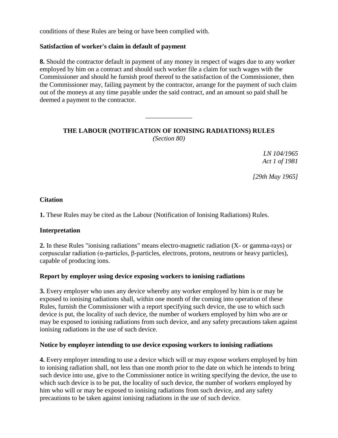conditions of these Rules are being or have been complied with.

### **Satisfaction of worker's claim in default of payment**

**8.** Should the contractor default in payment of any money in respect of wages due to any worker employed by him on a contract and should such worker file a claim for such wages with the Commissioner and should he furnish proof thereof to the satisfaction of the Commissioner, then the Commissioner may, failing payment by the contractor, arrange for the payment of such claim out of the moneys at any time payable under the said contract, and an amount so paid shall be deemed a payment to the contractor.

# **THE LABOUR (NOTIFICATION OF IONISING RADIATIONS) RULES** *(Section 80)*

\_\_\_\_\_\_\_\_\_\_\_\_\_\_

*LN 104/1965 Act 1 of 1981*

*[29th May 1965]*

### **Citation**

**1.** These Rules may be cited as the Labour (Notification of Ionising Radiations) Rules.

### **Interpretation**

**2.** In these Rules "ionising radiations" means electro-magnetic radiation (X- or gamma-rays) or corpuscular radiation (α-particles, β-particles, electrons, protons, neutrons or heavy particles), capable of producing ions.

### **Report by employer using device exposing workers to ionising radiations**

**3.** Every employer who uses any device whereby any worker employed by him is or may be exposed to ionising radiations shall, within one month of the coming into operation of these Rules, furnish the Commissioner with a report specifying such device, the use to which such device is put, the locality of such device, the number of workers employed by him who are or may be exposed to ionising radiations from such device, and any safety precautions taken against ionising radiations in the use of such device.

### **Notice by employer intending to use device exposing workers to ionising radiations**

**4.** Every employer intending to use a device which will or may expose workers employed by him to ionising radiation shall, not less than one month prior to the date on which he intends to bring such device into use, give to the Commissioner notice in writing specifying the device, the use to which such device is to be put, the locality of such device, the number of workers employed by him who will or may be exposed to ionising radiations from such device, and any safety precautions to be taken against ionising radiations in the use of such device.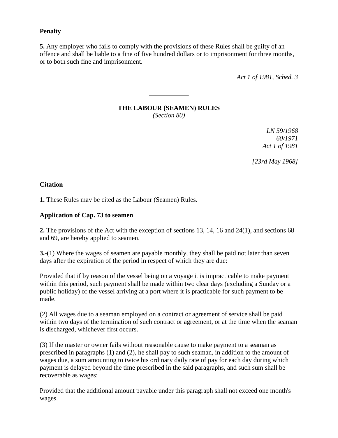### **Penalty**

**5.** Any employer who fails to comply with the provisions of these Rules shall be guilty of an offence and shall be liable to a fine of five hundred dollars or to imprisonment for three months, or to both such fine and imprisonment.

*Act 1 of 1981, Sched. 3*

# **THE LABOUR (SEAMEN) RULES**

\_\_\_\_\_\_\_\_\_\_\_\_

*(Section 80)*

*LN 59/1968 60/1971 Act 1 of 1981*

*[23rd May 1968]*

### **Citation**

**1.** These Rules may be cited as the Labour (Seamen) Rules.

### **Application of Cap. 73 to seamen**

**2.** The provisions of the Act with the exception of sections 13, 14, 16 and 24(1), and sections 68 and 69, are hereby applied to seamen.

**3.**-(1) Where the wages of seamen are payable monthly, they shall be paid not later than seven days after the expiration of the period in respect of which they are due:

Provided that if by reason of the vessel being on a voyage it is impracticable to make payment within this period, such payment shall be made within two clear days (excluding a Sunday or a public holiday) of the vessel arriving at a port where it is practicable for such payment to be made.

(2) All wages due to a seaman employed on a contract or agreement of service shall be paid within two days of the termination of such contract or agreement, or at the time when the seaman is discharged, whichever first occurs.

(3) If the master or owner fails without reasonable cause to make payment to a seaman as prescribed in paragraphs (1) and (2), he shall pay to such seaman, in addition to the amount of wages due, a sum amounting to twice his ordinary daily rate of pay for each day during which payment is delayed beyond the time prescribed in the said paragraphs, and such sum shall be recoverable as wages:

Provided that the additional amount payable under this paragraph shall not exceed one month's wages.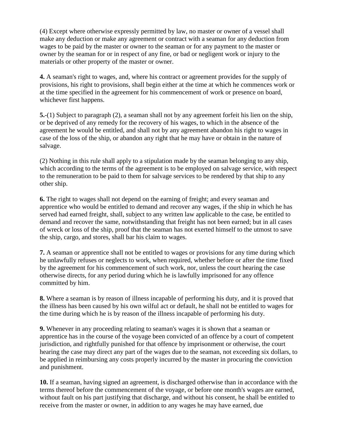(4) Except where otherwise expressly permitted by law, no master or owner of a vessel shall make any deduction or make any agreement or contract with a seaman for any deduction from wages to be paid by the master or owner to the seaman or for any payment to the master or owner by the seaman for or in respect of any fine, or bad or negligent work or injury to the materials or other property of the master or owner.

**4.** A seaman's right to wages, and, where his contract or agreement provides for the supply of provisions, his right to provisions, shall begin either at the time at which he commences work or at the time specified in the agreement for his commencement of work or presence on board, whichever first happens.

**5.**-(1) Subject to paragraph (2), a seaman shall not by any agreement forfeit his lien on the ship, or be deprived of any remedy for the recovery of his wages, to which in the absence of the agreement he would be entitled, and shall not by any agreement abandon his right to wages in case of the loss of the ship, or abandon any right that he may have or obtain in the nature of salvage.

(2) Nothing in this rule shall apply to a stipulation made by the seaman belonging to any ship, which according to the terms of the agreement is to be employed on salvage service, with respect to the remuneration to be paid to them for salvage services to be rendered by that ship to any other ship.

**6.** The right to wages shall not depend on the earning of freight; and every seaman and apprentice who would be entitled to demand and recover any wages, if the ship in which he has served had earned freight, shall, subject to any written law applicable to the case, be entitled to demand and recover the same, notwithstanding that freight has not been earned; but in all cases of wreck or loss of the ship, proof that the seaman has not exerted himself to the utmost to save the ship, cargo, and stores, shall bar his claim to wages.

**7.** A seaman or apprentice shall not be entitled to wages or provisions for any time during which he unlawfully refuses or neglects to work, when required, whether before or after the time fixed by the agreement for his commencement of such work, nor, unless the court hearing the case otherwise directs, for any period during which he is lawfully imprisoned for any offence committed by him.

**8.** Where a seaman is by reason of illness incapable of performing his duty, and it is proved that the illness has been caused by his own wilful act or default, he shall not be entitled to wages for the time during which he is by reason of the illness incapable of performing his duty.

**9.** Whenever in any proceeding relating to seaman's wages it is shown that a seaman or apprentice has in the course of the voyage been convicted of an offence by a court of competent jurisdiction, and rightfully punished for that offence by imprisonment or otherwise, the court hearing the case may direct any part of the wages due to the seaman, not exceeding six dollars, to be applied in reimbursing any costs properly incurred by the master in procuring the conviction and punishment.

**10.** If a seaman, having signed an agreement, is discharged otherwise than in accordance with the terms thereof before the commencement of the voyage, or before one month's wages are earned, without fault on his part justifying that discharge, and without his consent, he shall be entitled to receive from the master or owner, in addition to any wages he may have earned, due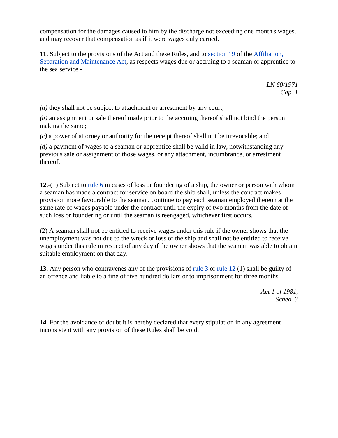compensation for the damages caused to him by the discharge not exceeding one month's wages, and may recover that compensation as if it were wages duly earned.

**11.** Subject to the provisions of the Act and these Rules, and to [section 19](http://www.paclii.org/sb/legis/consol_act/asama324/index.html#s19) of the [Affiliation,](http://www.paclii.org/sb/legis/consol_act/asama324/) [Separation and Maintenance Act,](http://www.paclii.org/sb/legis/consol_act/asama324/) as respects wages due or accruing to a seaman or apprentice to the sea service -

> *LN 60/1971 Cap. 1*

*(a)* they shall not be subject to attachment or arrestment by any court;

*(b)* an assignment or sale thereof made prior to the accruing thereof shall not bind the person making the same;

*(c)* a power of attorney or authority for the receipt thereof shall not be irrevocable; and

*(d)* a payment of wages to a seaman or apprentice shall be valid in law, notwithstanding any previous sale or assignment of those wages, or any attachment, incumbrance, or arrestment thereof.

**12.**-(1) Subject to [rule 6](http://www.paclii.org/sb/legis/consol_act/asama324/index.html#s6) in cases of loss or foundering of a ship, the owner or person with whom a seaman has made a contract for service on board the ship shall, unless the contract makes provision more favourable to the seaman, continue to pay each seaman employed thereon at the same rate of wages payable under the contract until the expiry of two months from the date of such loss or foundering or until the seaman is reengaged, whichever first occurs.

(2) A seaman shall not be entitled to receive wages under this rule if the owner shows that the unemployment was not due to the wreck or loss of the ship and shall not be entitled to receive wages under this rule in respect of any day if the owner shows that the seaman was able to obtain suitable employment on that day.

**13.** Any person who contravenes any of the provisions of [rule 3](http://www.paclii.org/sb/legis/consol_act/asama324/index.html#s3) or [rule 12](http://www.paclii.org/sb/legis/consol_act/asama324/index.html#s12) (1) shall be guilty of an offence and liable to a fine of five hundred dollars or to imprisonment for three months.

> *Act 1 of 1981, Sched. 3*

**14.** For the avoidance of doubt it is hereby declared that every stipulation in any agreement inconsistent with any provision of these Rules shall be void.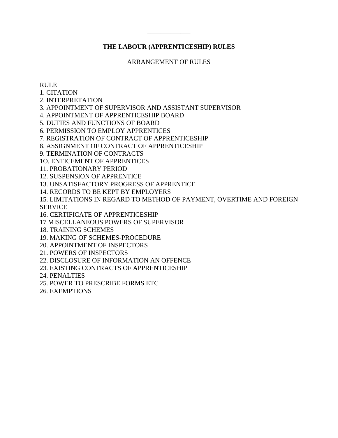### **THE LABOUR (APPRENTICESHIP) RULES**

\_\_\_\_\_\_\_\_\_\_\_\_\_

ARRANGEMENT OF RULES

#### RULE

1. CITATION

2. INTERPRETATION

3. APPOINTMENT OF SUPERVISOR AND ASSISTANT SUPERVISOR

4. APPOINTMENT OF APPRENTICESHIP BOARD

5. DUTIES AND FUNCTIONS OF BOARD

6. PERMISSION TO EMPLOY APPRENTICES

7. REGISTRATION OF CONTRACT OF APPRENTICESHIP

8. ASSIGNMENT OF CONTRACT OF APPRENTICESHIP

9. TERMINATION OF CONTRACTS

1O. ENTICEMENT OF APPRENTICES

11. PROBATIONARY PERIOD

12. SUSPENSION OF APPRENTICE

13. UNSATISFACTORY PROGRESS OF APPRENTICE

14. RECORDS TO BE KEPT BY EMPLOYERS

15. LIMITATIONS IN REGARD TO METHOD OF PAYMENT, OVERTIME AND FOREIGN SERVICE

16. CERTIFICATE OF APPRENTICESHIP

17 MISCELLANEOUS POWERS OF SUPERVISOR

18. TRAINING SCHEMES

19. MAKING OF SCHEMES-PROCEDURE

20. APPOINTMENT OF INSPECTORS

21. POWERS OF INSPECTORS

22. DISCLOSURE OF INFORMATION AN OFFENCE

23. EXISTING CONTRACTS OF APPRENTICESHIP

24. PENALTIES

25. POWER TO PRESCRIBE FORMS ETC

26. EXEMPTIONS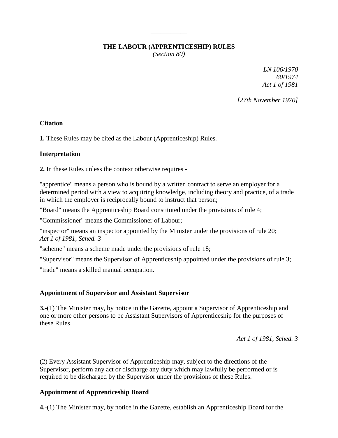### **THE LABOUR (APPRENTICESHIP) RULES**

\_\_\_\_\_\_\_\_\_\_\_

*(Section 80)*

*LN 106/1970 60/1974 Act 1 of 1981*

*[27th November 1970]*

### **Citation**

**1.** These Rules may be cited as the Labour (Apprenticeship) Rules.

# **Interpretation**

**2.** In these Rules unless the context otherwise requires -

"apprentice" means a person who is bound by a written contract to serve an employer for a determined period with a view to acquiring knowledge, including theory and practice, of a trade in which the employer is reciprocally bound to instruct that person;

"Board" means the Apprenticeship Board constituted under the provisions of rule 4;

"Commissioner" means the Commissioner of Labour;

"inspector" means an inspector appointed by the Minister under the provisions of rule 20; *Act 1 of 1981, Sched. 3*

"scheme" means a scheme made under the provisions of rule 18;

"Supervisor" means the Supervisor of Apprenticeship appointed under the provisions of rule 3;

"trade" means a skilled manual occupation.

# **Appointment of Supervisor and Assistant Supervisor**

**3.**-(1) The Minister may, by notice in the Gazette, appoint a Supervisor of Apprenticeship and one or more other persons to be Assistant Supervisors of Apprenticeship for the purposes of these Rules.

*Act 1 of 1981, Sched. 3*

(2) Every Assistant Supervisor of Apprenticeship may, subject to the directions of the Supervisor, perform any act or discharge any duty which may lawfully be performed or is required to be discharged by the Supervisor under the provisions of these Rules.

# **Appointment of Apprenticeship Board**

**4.**-(1) The Minister may, by notice in the Gazette, establish an Apprenticeship Board for the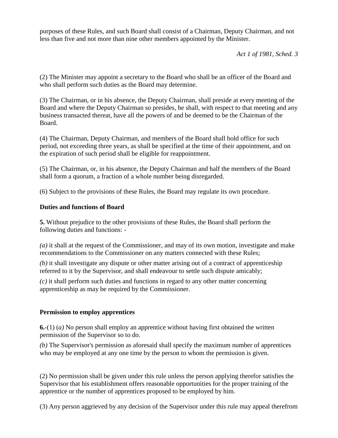purposes of these Rules, and such Board shall consist of a Chairman, Deputy Chairman, and not less than five and not more than nine other members appointed by the Minister.

*Act 1 of 1981, Sched. 3*

(2) The Minister may appoint a secretary to the Board who shall be an officer of the Board and who shall perform such duties as the Board may determine.

(3) The Chairman, or in his absence, the Deputy Chairman, shall preside at every meeting of the Board and where the Deputy Chairman so presides, he shall, with respect to that meeting and any business transacted thereat, have all the powers of and be deemed to be the Chairman of the Board.

(4) The Chairman, Deputy Chairman, and members of the Board shall hold office for such period, not exceeding three years, as shall be specified at the time of their appointment, and on the expiration of such period shall be eligible for reappointment.

(5) The Chairman, or, in his absence, the Deputy Chairman and half the members of the Board shall form a quorum, a fraction of a whole number being disregarded.

(6) Subject to the provisions of these Rules, the Board may regulate its own procedure.

# **Duties and functions of Board**

**5.** Without prejudice to the other provisions of these Rules, the Board shall perform the following duties and functions: -

*(a)* it shall at the request of the Commissioner, and may of its own motion, investigate and make recommendations to the Commissioner on any matters connected with these Rules;

*(b)* it shall investigate any dispute or other matter arising out of a contract of apprenticeship referred to it by the Supervisor, and shall endeavour to settle such dispute amicably;

*(c)* it shall perform such duties and functions in regard to any other matter concerning apprenticeship as may be required by the Commissioner.

# **Permission to employ apprentices**

**6.**-(1) (*a)* No person shall employ an apprentice without having first obtained the written permission of the Supervisor so to do.

*(b)* The Supervisor's permission as aforesaid shall specify the maximum number of apprentices who may be employed at any one time by the person to whom the permission is given.

(2) No permission shall be given under this rule unless the person applying therefor satisfies the Supervisor that his establishment offers reasonable opportunities for the proper training of the apprentice or the number of apprentices proposed to be employed by him.

(3) Any person aggrieved by any decision of the Supervisor under this rule may appeal therefrom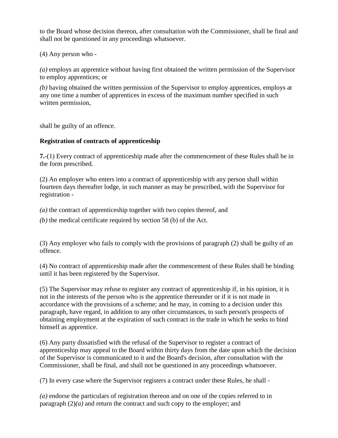to the Board whose decision thereon, after consultation with the Commissioner, shall be final and shall not be questioned in any proceedings whatsoever.

(4) Any person who -

*(a)* employs an apprentice without having first obtained the written permission of the Supervisor to employ apprentices; or

*(b)* having obtained the written permission of the Supervisor to employ apprentices, employs at any one time a number of apprentices in excess of the maximum number specified in such written permission,

shall be guilty of an offence.

# **Registration of contracts of apprenticeship**

**7.**-(1) Every contract of apprenticeship made after the commencement of these Rules shall be in the form prescribed.

(2) An employer who enters into a contract of apprenticeship with any person shall within fourteen days thereafter lodge, in such manner as may be prescribed, with the Supervisor for registration -

*(a)* the contract of apprenticeship together with two copies thereof, and

*(b)* the medical certificate required by section 58 (b) of the Act.

(3) Any employer who fails to comply with the provisions of paragraph (2) shall be guilty of an offence.

(4) No contract of apprenticeship made after the commencement of these Rules shall be binding until it has been registered by the Supervisor.

(5) The Supervisor may refuse to register any contract of apprenticeship if, in his opinion, it is not in the interests of the person who is the apprentice thereunder or if it is not made in accordance with the provisions of a scheme; and he may, in coming to a decision under this paragraph, have regard, in addition to any other circumstances, to such person's prospects of obtaining employment at the expiration of such contract in the trade in which he seeks to bind himself as apprentice.

(6) Any party dissatisfied with the refusal of the Supervisor to register a contract of apprenticeship may appeal to the Board within thirty days from the date upon which the decision of the Supervisor is communicated to it and the Board's decision, after consultation with the Commissioner, shall be final, and shall not be questioned in any proceedings whatsoever.

(7) In every case where the Supervisor registers a contract under these Rules, he shall -

*(a)* endorse the particulars of registration thereon and on one of the copies referred to in paragraph  $(2)(a)$  and return the contract and such copy to the employer; and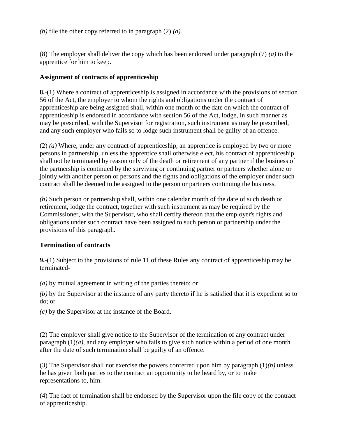*(b)* file the other copy referred to in paragraph (2) *(a).*

(8) The employer shall deliver the copy which has been endorsed under paragraph (7) *(a)* to the apprentice for him to keep.

### **Assignment of contracts of apprenticeship**

**8.**-(1) Where a contract of apprenticeship is assigned in accordance with the provisions of section 56 of the Act, the employer to whom the rights and obligations under the contract of apprenticeship are being assigned shall, within one month of the date on which the contract of apprenticeship is endorsed in accordance with section 56 of the Act, lodge, in such manner as may be prescribed, with the Supervisor for registration, such instrument as may be prescribed, and any such employer who fails so to lodge such instrument shall be guilty of an offence.

(2) *(a)* Where, under any contract of apprenticeship, an apprentice is employed by two or more persons in partnership, unless the apprentice shall otherwise elect, his contract of apprenticeship shall not be terminated by reason only of the death or retirement of any partner if the business of the partnership is continued by the surviving or continuing partner or partners whether alone or jointly with another person or persons and the rights and obligations of the employer under such contract shall be deemed to be assigned to the person or partners continuing the business.

*(b)* Such person or partnership shall, within one calendar month of the date of such death or retirement, lodge the contract, together with such instrument as may be required by the Commissioner, with the Supervisor, who shall certify thereon that the employer's rights and obligations under such contract have been assigned to such person or partnership under the provisions of this paragraph.

# **Termination of contracts**

**9.**-(1) Subject to the provisions of rule 11 of these Rules any contract of apprenticeship may be terminated-

*(a)* by mutual agreement in writing of the parties thereto; or

*(b)* by the Supervisor at the instance of any party thereto if he is satisfied that it is expedient so to do; or

*(c)* by the Supervisor at the instance of the Board.

(2) The employer shall give notice to the Supervisor of the termination of any contract under paragraph (1)*(a)*, and any employer who fails to give such notice within a period of one month after the date of such termination shall be guilty of an offence.

(3) The Supervisor shall not exercise the powers conferred upon him by paragraph (1)*(b)* unless he has given both parties to the contract an opportunity to be heard by, or to make representations to, him.

(4) The fact of termination shall be endorsed by the Supervisor upon the file copy of the contract of apprenticeship.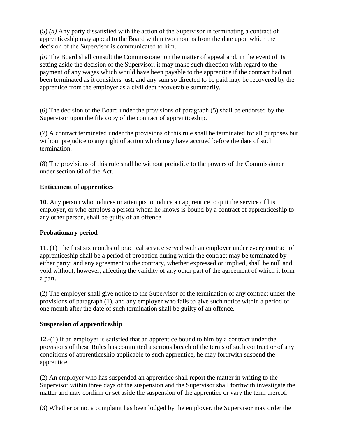(5) *(a)* Any party dissatisfied with the action of the Supervisor in terminating a contract of apprenticeship may appeal to the Board within two months from the date upon which the decision of the Supervisor is communicated to him.

*(b)* The Board shall consult the Commissioner on the matter of appeal and, in the event of its setting aside the decision of the Supervisor, it may make such direction with regard to the payment of any wages which would have been payable to the apprentice if the contract had not been terminated as it considers just, and any sum so directed to be paid may be recovered by the apprentice from the employer as a civil debt recoverable summarily.

(6) The decision of the Board under the provisions of paragraph (5) shall be endorsed by the Supervisor upon the file copy of the contract of apprenticeship.

(7) A contract terminated under the provisions of this rule shall be terminated for all purposes but without prejudice to any right of action which may have accrued before the date of such termination.

(8) The provisions of this rule shall be without prejudice to the powers of the Commissioner under section 60 of the Act.

# **Enticement of apprentices**

**10.** Any person who induces or attempts to induce an apprentice to quit the service of his employer, or who employs a person whom he knows is bound by a contract of apprenticeship to any other person, shall be guilty of an offence.

# **Probationary period**

**11.** (1) The first six months of practical service served with an employer under every contract of apprenticeship shall be a period of probation during which the contract may be terminated by either party; and any agreement to the contrary, whether expressed or implied, shall be null and void without, however, affecting the validity of any other part of the agreement of which it form a part.

(2) The employer shall give notice to the Supervisor of the termination of any contract under the provisions of paragraph (1), and any employer who fails to give such notice within a period of one month after the date of such termination shall be guilty of an offence.

# **Suspension of apprenticeship**

**12.**-(1) If an employer is satisfied that an apprentice bound to him by a contract under the provisions of these Rules has committed a serious breach of the terms of such contract or of any conditions of apprenticeship applicable to such apprentice, he may forthwith suspend the apprentice.

(2) An employer who has suspended an apprentice shall report the matter in writing to the Supervisor within three days of the suspension and the Supervisor shall forthwith investigate the matter and may confirm or set aside the suspension of the apprentice or vary the term thereof.

(3) Whether or not a complaint has been lodged by the employer, the Supervisor may order the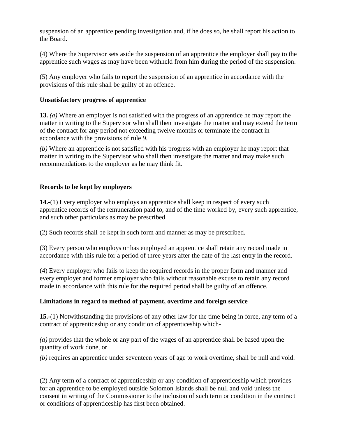suspension of an apprentice pending investigation and, if he does so, he shall report his action to the Board.

(4) Where the Supervisor sets aside the suspension of an apprentice the employer shall pay to the apprentice such wages as may have been withheld from him during the period of the suspension.

(5) Any employer who fails to report the suspension of an apprentice in accordance with the provisions of this rule shall be guilty of an offence.

### **Unsatisfactory progress of apprentice**

**13.** *(a)* Where an employer is not satisfied with the progress of an apprentice he may report the matter in writing to the Supervisor who shall then investigate the matter and may extend the term of the contract for any period not exceeding twelve months or terminate the contract in accordance with the provisions of rule 9.

*(b)* Where an apprentice is not satisfied with his progress with an employer he may report that matter in writing to the Supervisor who shall then investigate the matter and may make such recommendations to the employer as he may think fit.

### **Records to be kept by employers**

**14.**-(1) Every employer who employs an apprentice shall keep in respect of every such apprentice records of the remuneration paid to, and of the time worked by, every such apprentice, and such other particulars as may be prescribed.

(2) Such records shall be kept in such form and manner as may be prescribed.

(3) Every person who employs or has employed an apprentice shall retain any record made in accordance with this rule for a period of three years after the date of the last entry in the record.

(4) Every employer who fails to keep the required records in the proper form and manner and every employer and former employer who fails without reasonable excuse to retain any record made in accordance with this rule for the required period shall be guilty of an offence.

### **Limitations in regard to method of payment, overtime and foreign service**

**15.**-(1) Notwithstanding the provisions of any other law for the time being in force, any term of a contract of apprenticeship or any condition of apprenticeship which-

*(a)* provides that the whole or any part of the wages of an apprentice shall be based upon the quantity of work done, or

*(b)* requires an apprentice under seventeen years of age to work overtime, shall be null and void.

(2) Any term of a contract of apprenticeship or any condition of apprenticeship which provides for an apprentice to be employed outside Solomon Islands shall be null and void unless the consent in writing of the Commissioner to the inclusion of such term or condition in the contract or conditions of apprenticeship has first been obtained.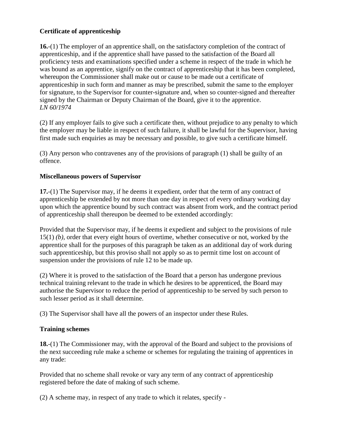# **Certificate of apprenticeship**

**16.**-(1) The employer of an apprentice shall, on the satisfactory completion of the contract of apprenticeship, and if the apprentice shall have passed to the satisfaction of the Board all proficiency tests and examinations specified under a scheme in respect of the trade in which he was bound as an apprentice, signify on the contract of apprenticeship that it has been completed, whereupon the Commissioner shall make out or cause to be made out a certificate of apprenticeship in such form and manner as may be prescribed, submit the same to the employer for signature, to the Supervisor for counter-signature and, when so counter-signed and thereafter signed by the Chairman or Deputy Chairman of the Board, give it to the apprentice. *LN 60/1974*

(2) If any employer fails to give such a certificate then, without prejudice to any penalty to which the employer may be liable in respect of such failure, it shall be lawful for the Supervisor, having first made such enquiries as may be necessary and possible, to give such a certificate himself.

(3) Any person who contravenes any of the provisions of paragraph (1) shall be guilty of an offence.

### **Miscellaneous powers of Supervisor**

**17.**-(1) The Supervisor may, if he deems it expedient, order that the term of any contract of apprenticeship be extended by not more than one day in respect of every ordinary working day upon which the apprentice bound by such contract was absent from work, and the contract period of apprenticeship shall thereupon be deemed to be extended accordingly:

Provided that the Supervisor may, if he deems it expedient and subject to the provisions of rule 15(1) *(b)*, order that every eight hours of overtime, whether consecutive or not, worked by the apprentice shall for the purposes of this paragraph be taken as an additional day of work during such apprenticeship, but this proviso shall not apply so as to permit time lost on account of suspension under the provisions of rule 12 to be made up.

(2) Where it is proved to the satisfaction of the Board that a person has undergone previous technical training relevant to the trade in which he desires to be apprenticed, the Board may authorise the Supervisor to reduce the period of apprenticeship to be served by such person to such lesser period as it shall determine.

(3) The Supervisor shall have all the powers of an inspector under these Rules.

# **Training schemes**

**18.**-(1) The Commissioner may, with the approval of the Board and subject to the provisions of the next succeeding rule make a scheme or schemes for regulating the training of apprentices in any trade:

Provided that no scheme shall revoke or vary any term of any contract of apprenticeship registered before the date of making of such scheme.

(2) A scheme may, in respect of any trade to which it relates, specify -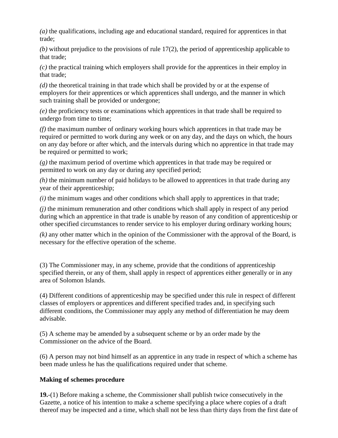*(a)* the qualifications, including age and educational standard, required for apprentices in that trade;

*(b)* without prejudice to the provisions of rule 17(2), the period of apprenticeship applicable to that trade;

*(c)* the practical training which employers shall provide for the apprentices in their employ in that trade;

*(d)* the theoretical training in that trade which shall be provided by or at the expense of employers for their apprentices or which apprentices shall undergo, and the manner in which such training shall be provided or undergone;

*(e)* the proficiency tests or examinations which apprentices in that trade shall be required to undergo from time to time;

*(f)* the maximum number of ordinary working hours which apprentices in that trade may be required or permitted to work during any week or on any day, and the days on which, the hours on any day before or after which, and the intervals during which no apprentice in that trade may be required or permitted to work;

*(g)* the maximum period of overtime which apprentices in that trade may be required or permitted to work on any day or during any specified period;

*(h)* the minimum number of paid holidays to be allowed to apprentices in that trade during any year of their apprenticeship;

*(i)* the minimum wages and other conditions which shall apply to apprentices in that trade;

*(j)* the minimum remuneration and other conditions which shall apply in respect of any period during which an apprentice in that trade is unable by reason of any condition of apprenticeship or other specified circumstances to render service to his employer during ordinary working hours;

*(k)* any other matter which in the opinion of the Commissioner with the approval of the Board, is necessary for the effective operation of the scheme.

(3) The Commissioner may, in any scheme, provide that the conditions of apprenticeship specified therein, or any of them, shall apply in respect of apprentices either generally or in any area of Solomon Islands.

(4) Different conditions of apprenticeship may be specified under this rule in respect of different classes of employers or apprentices and different specified trades and, in specifying such different conditions, the Commissioner may apply any method of differentiation he may deem advisable.

(5) A scheme may be amended by a subsequent scheme or by an order made by the Commissioner on the advice of the Board.

(6) A person may not bind himself as an apprentice in any trade in respect of which a scheme has been made unless he has the qualifications required under that scheme.

# **Making of schemes procedure**

**19.**-(1) Before making a scheme, the Commissioner shall publish twice consecutively in the Gazette, a notice of his intention to make a scheme specifying a place where copies of a draft thereof may be inspected and a time, which shall not be less than thirty days from the first date of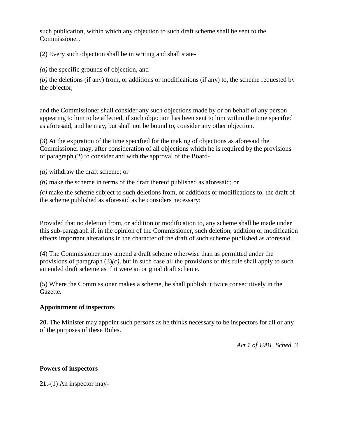such publication, within which any objection to such draft scheme shall be sent to the Commissioner.

(2) Every such objection shall be in writing and shall state-

*(a)* the specific grounds of objection, and

*(b)* the deletions (if any) from, or additions or modifications (if any) to, the scheme requested by the objector,

and the Commissioner shall consider any such objections made by or on behalf of any person appearing to him to be affected, if such objection has been sent to him within the time specified as aforesaid, and he may, but shall not be bound to, consider any other objection.

(3) At the expiration of the time specified for the making of objections as aforesaid the Commissioner may, after consideration of all objections which he is required by the provisions of paragraph (2) to consider and with the approval of the Board-

*(a)* withdraw the draft scheme; or

*(b)* make the scheme in terms of the draft thereof published as aforesaid; or

*(c)* make the scheme subject to such deletions from, or additions or modifications to, the draft of the scheme published as aforesaid as he considers necessary:

Provided that no deletion from, or addition or modification to, any scheme shall be made under this sub-paragraph if, in the opinion of the Commissioner, such deletion, addition or modification effects important alterations in the character of the draft of such scheme published as aforesaid.

(4) The Commissioner may amend a draft scheme otherwise than as permitted under the provisions of paragraph  $(3)(c)$ , but in such case all the provisions of this rule shall apply to such amended draft scheme as if it were an original draft scheme.

(5) Where the Commissioner makes a scheme, he shall publish it twice consecutively in the Gazette.

# **Appointment of inspectors**

**20.** The Minister may appoint such persons as he thinks necessary to be inspectors for all or any of the purposes of these Rules.

*Act 1 of 1981, Sched. 3*

# **Powers of inspectors**

**21.**-(1) An inspector may-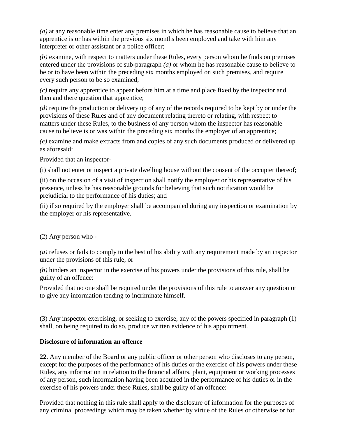*(a)* at any reasonable time enter any premises in which he has reasonable cause to believe that an apprentice is or has within the previous six months been employed and take with him any interpreter or other assistant or a police officer;

*(b)* examine, with respect to matters under these Rules, every person whom he finds on premises entered under the provisions of sub-paragraph *(a)* or whom he has reasonable cause to believe to be or to have been within the preceding six months employed on such premises, and require every such person to be so examined;

*(c)* require any apprentice to appear before him at a time and place fixed by the inspector and then and there question that apprentice;

*(d)* require the production or delivery up of any of the records required to be kept by or under the provisions of these Rules and of any document relating thereto or relating, with respect to matters under these Rules, to the business of any person whom the inspector has reasonable cause to believe is or was within the preceding six months the employer of an apprentice;

*(e)* examine and make extracts from and copies of any such documents produced or delivered up as aforesaid:

Provided that an inspector-

(i) shall not enter or inspect a private dwelling house without the consent of the occupier thereof;

(ii) on the occasion of a visit of inspection shall notify the employer or his representative of his presence, unless he has reasonable grounds for believing that such notification would be prejudicial to the performance of his duties; and

(ii) if so required by the employer shall be accompanied during any inspection or examination by the employer or his representative.

(2) Any person who -

*(a)* refuses or fails to comply to the best of his ability with any requirement made by an inspector under the provisions of this rule; or

*(b)* hinders an inspector in the exercise of his powers under the provisions of this rule, shall be guilty of an offence:

Provided that no one shall be required under the provisions of this rule to answer any question or to give any information tending to incriminate himself.

(3) Any inspector exercising, or seeking to exercise, any of the powers specified in paragraph (1) shall, on being required to do so, produce written evidence of his appointment.

### **Disclosure of information an offence**

**22.** Any member of the Board or any public officer or other person who discloses to any person, except for the purposes of the performance of his duties or the exercise of his powers under these Rules, any information in relation to the financial affairs, plant, equipment or working processes of any person, such information having been acquired in the performance of his duties or in the exercise of his powers under these Rules, shall be guilty of an offence:

Provided that nothing in this rule shall apply to the disclosure of information for the purposes of any criminal proceedings which may be taken whether by virtue of the Rules or otherwise or for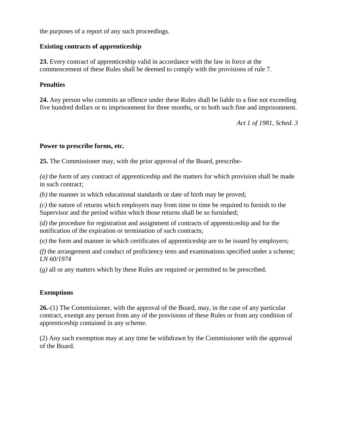the purposes of a report of any such proceedings.

### **Existing contracts of apprenticeship**

**23.** Every contract of apprenticeship valid in accordance with the law in force at the commencement of these Rules shall be deemed to comply with the provisions of rule 7.

#### **Penalties**

**24.** Any person who commits an offence under these Rules shall be liable to a fine not exceeding five hundred dollars or to imprisonment for three months, or to both such fine and imprisonment.

*Act 1 of 1981, Sched. 3*

#### **Power to prescribe forms, etc.**

**25.** The Commissioner may, with the prior approval of the Board, prescribe-

*(a)* the form of any contract of apprenticeship and the matters for which provision shall be made in such contract;

*(b)* the manner in which educational standards or date of birth may be proved;

*(c)* the nature of returns which employers may from time to time be required to furnish to the Supervisor and the period within which those returns shall be so furnished;

*(d)* the procedure for registration and assignment of contracts of apprenticeship and for the notification of the expiration or termination of such contracts;

*(e)* the form and manner in which certificates of apprenticeship are to be issued by employers;

*(f)* the arrangement and conduct of proficiency tests and examinations specified under a scheme; *LN 60/1974*

*(g)* all or any matters which by these Rules are required or permitted to be prescribed.

### **Exemptions**

**26.**-(1) The Commissioner, with the approval of the Board, may, in the case of any particular contract, exempt any person from any of the provisions of these Rules or from any condition of apprenticeship contained in any scheme.

(2) Any such exemption may at any time be withdrawn by the Commissioner with the approval of the Board.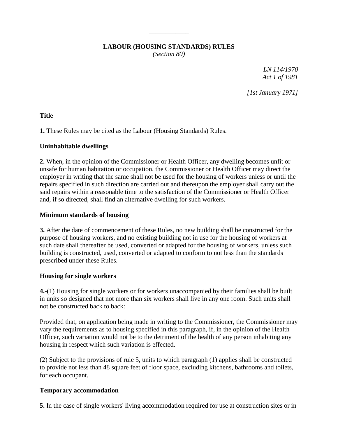# **LABOUR (HOUSING STANDARDS) RULES**

\_\_\_\_\_\_\_\_\_\_\_\_

*(Section 80)*

*LN 114/1970 Act 1 of 1981*

*[1st January 1971]*

**Title**

**1.** These Rules may be cited as the Labour (Housing Standards) Rules.

# **Uninhabitable dwellings**

**2.** When, in the opinion of the Commissioner or Health Officer, any dwelling becomes unfit or unsafe for human habitation or occupation, the Commissioner or Health Officer may direct the employer in writing that the same shall not be used for the housing of workers unless or until the repairs specified in such direction are carried out and thereupon the employer shall carry out the said repairs within a reasonable time to the satisfaction of the Commissioner or Health Officer and, if so directed, shall find an alternative dwelling for such workers.

# **Minimum standards of housing**

**3.** After the date of commencement of these Rules, no new building shall be constructed for the purpose of housing workers, and no existing building not in use for the housing of workers at such date shall thereafter be used, converted or adapted for the housing of workers, unless such building is constructed, used, converted or adapted to conform to not less than the standards prescribed under these Rules.

# **Housing for single workers**

**4.**-(1) Housing for single workers or for workers unaccompanied by their families shall be built in units so designed that not more than six workers shall live in any one room. Such units shall not be constructed back to back:

Provided that, on application being made in writing to the Commissioner, the Commissioner may vary the requirements as to housing specified in this paragraph, if, in the opinion of the Health Officer, such variation would not be to the detriment of the health of any person inhabiting any housing in respect which such variation is effected.

(2) Subject to the provisions of rule 5, units to which paragraph (1) applies shall be constructed to provide not less than 48 square feet of floor space, excluding kitchens, bathrooms and toilets, for each occupant.

# **Temporary accommodation**

**5.** In the case of single workers' living accommodation required for use at construction sites or in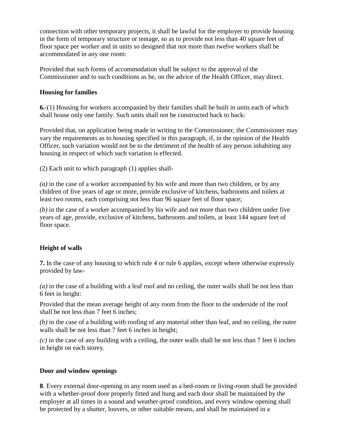connection with other temporary projects, it shall be lawful for the employer to provide housing in the form of temporary structure or tentage, so as to provide not less than 40 square feet of floor space per worker and in units so designed that not more than twelve workers shall be accommodated in any one room:

Provided that such forms of accommodation shall be subject to the approval of the Commissioner and to such conditions as he, on the advice of the Health Officer, may direct.

# **Housing for families**

**6.**-(1) Housing for workers accompanied by their families shall be built in units each of which shall house only one family. Such units shall not be constructed back to back:

Provided that, on application being made in writing to the Commissioner, the Commissioner may vary the requirements as to housing specified in this paragraph, if, in the opinion of the Health Officer, such variation would not be to the detriment of the health of any person inhabiting any housing in respect of which such variation is effected.

(2) Each unit to which paragraph (1) applies shall-

*(a)* in the case of a worker accompanied by his wife and more than two children, or by any children of five years of age or more, provide exclusive of kitchens, bathrooms and toilets at least two rooms, each comprising not less than 96 square feet of floor space;

*(b)* in the case of a worker accompanied by his wife and not more than two children under five years of age, provide, exclusive of kitchens, bathrooms and toilets, at least 144 square feet of floor space.

# **Height of walls**

**7.** In the case of any housing to which rule 4 or rule 6 applies, except where otherwise expressly provided by law-

*(a)* in the case of a building with a leaf roof and no ceiling, the outer walls shall be not less than 6 feet in height:

Provided that the mean average height of any room from the floor to the underside of the roof shall be not less than 7 feet 6 inches;

*(b)* in the case of a building with roofing of any material other than leaf, and no ceiling, the outer walls shall be not less than 7 feet 6 inches in height;

*(c)* in the case of any building with a ceiling, the outer walls shall be not less than 7 feet 6 inches in height on each storey.

# **Door and window openings**

**8**. Every external door-opening in any room used as a bed-room or living-room shall be provided with a whether-proof door properly fitted and hung and each door shall be maintained by the employer at all times in a sound and weather-proof condition, and every window opening shall be protected by a shutter, louvers, or other suitable means, and shall be maintained in a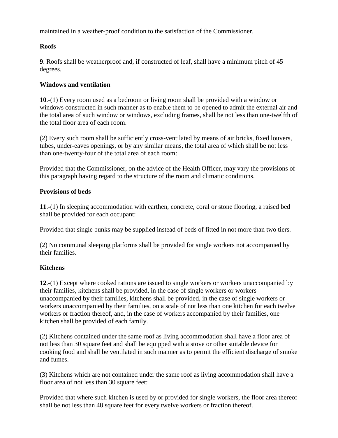maintained in a weather-proof condition to the satisfaction of the Commissioner.

# **Roofs**

**9**. Roofs shall be weatherproof and, if constructed of leaf, shall have a minimum pitch of 45 degrees.

# **Windows and ventilation**

**10**.-(1) Every room used as a bedroom or living room shall be provided with a window or windows constructed in such manner as to enable them to be opened to admit the external air and the total area of such window or windows, excluding frames, shall be not less than one-twelfth of the total floor area of each room.

(2) Every such room shall be sufficiently cross-ventilated by means of air bricks, fixed louvers, tubes, under-eaves openings, or by any similar means, the total area of which shall be not less than one-twenty-four of the total area of each room:

Provided that the Commissioner, on the advice of the Health Officer, may vary the provisions of this paragraph having regard to the structure of the room and climatic conditions.

# **Provisions of beds**

**11**.-(1) In sleeping accommodation with earthen, concrete, coral or stone flooring, a raised bed shall be provided for each occupant:

Provided that single bunks may be supplied instead of beds of fitted in not more than two tiers.

(2) No communal sleeping platforms shall be provided for single workers not accompanied by their families.

# **Kitchens**

**12**.-(1) Except where cooked rations are issued to single workers or workers unaccompanied by their families, kitchens shall be provided, in the case of single workers or workers unaccompanied by their families, kitchens shall be provided, in the case of single workers or workers unaccompanied by their families, on a scale of not less than one kitchen for each twelve workers or fraction thereof, and, in the case of workers accompanied by their families, one kitchen shall be provided of each family.

(2) Kitchens contained under the same roof as living accommodation shall have a floor area of not less than 30 square feet and shall be equipped with a stove or other suitable device for cooking food and shall be ventilated in such manner as to permit the efficient discharge of smoke and fumes.

(3) Kitchens which are not contained under the same roof as living accommodation shall have a floor area of not less than 30 square feet:

Provided that where such kitchen is used by or provided for single workers, the floor area thereof shall be not less than 48 square feet for every twelve workers or fraction thereof.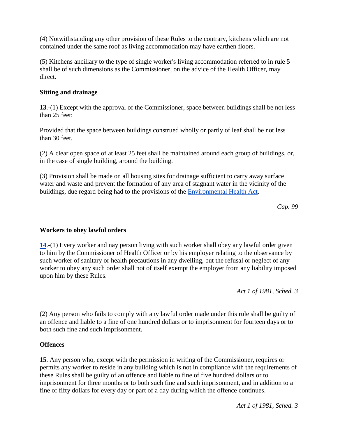(4) Notwithstanding any other provision of these Rules to the contrary, kitchens which are not contained under the same roof as living accommodation may have earthen floors.

(5) Kitchens ancillary to the type of single worker's living accommodation referred to in rule 5 shall be of such dimensions as the Commissioner, on the advice of the Health Officer, may direct.

# **Sitting and drainage**

**13**.-(1) Except with the approval of the Commissioner, space between buildings shall be not less than 25 feet:

Provided that the space between buildings construed wholly or partly of leaf shall be not less than 30 feet.

(2) A clear open space of at least 25 feet shall be maintained around each group of buildings, or, in the case of single building, around the building.

(3) Provision shall be made on all housing sites for drainage sufficient to carry away surface water and waste and prevent the formation of any area of stagnant water in the vicinity of the buildings, due regard being had to the provisions of the [Environmental Health Act.](http://www.paclii.org/sb/legis/consol_act/eha218/)

*Cap. 99*

# **Workers to obey lawful orders**

**[14](http://www.paclii.org/sb/legis/consol_act/eha218/index.html#s14)**.-(1) Every worker and nay person living with such worker shall obey any lawful order given to him by the Commissioner of Health Officer or by his employer relating to the observance by such worker of sanitary or health precautions in any dwelling, but the refusal or neglect of any worker to obey any such order shall not of itself exempt the employer from any liability imposed upon him by these Rules.

*Act 1 of 1981, Sched. 3*

(2) Any person who fails to comply with any lawful order made under this rule shall be guilty of an offence and liable to a fine of one hundred dollars or to imprisonment for fourteen days or to both such fine and such imprisonment.

### **Offences**

**15**. Any person who, except with the permission in writing of the Commissioner, requires or permits any worker to reside in any building which is not in compliance with the requirements of these Rules shall be guilty of an offence and liable to fine of five hundred dollars or to imprisonment for three months or to both such fine and such imprisonment, and in addition to a fine of fifty dollars for every day or part of a day during which the offence continues.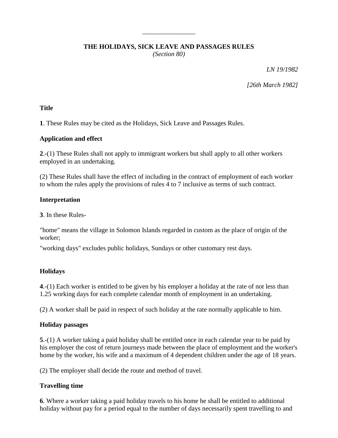# **THE HOLIDAYS, SICK LEAVE AND PASSAGES RULES**

\_\_\_\_\_\_\_\_\_\_\_\_\_\_\_\_

*(Section 80)*

*LN 19/1982*

*[26th March 1982]*

### **Title**

**1**. These Rules may be cited as the Holidays, Sick Leave and Passages Rules.

# **Application and effect**

**2**.-(1) These Rules shall not apply to immigrant workers but shall apply to all other workers employed in an undertaking.

(2) These Rules shall have the effect of including in the contract of employment of each worker to whom the rules apply the provisions of rules 4 to 7 inclusive as terms of such contract.

# **Interpretation**

**3**. In these Rules-

"home" means the village in Solomon Islands regarded in custom as the place of origin of the worker;

"working days" excludes public holidays, Sundays or other customary rest days.

# **Holidays**

**4**.-(1) Each worker is entitled to be given by his employer a holiday at the rate of not less than 1.25 working days for each complete calendar month of employment in an undertaking.

(2) A worker shall be paid in respect of such holiday at the rate normally applicable to him.

# **Holiday passages**

**5**.-(1) A worker taking a paid holiday shall be entitled once in each calendar year to be paid by his employer the cost of return journeys made between the place of employment and the worker's home by the worker, his wife and a maximum of 4 dependent children under the age of 18 years.

(2) The employer shall decide the route and method of travel.

# **Travelling time**

**6**. Where a worker taking a paid holiday travels to his home he shall be entitled to additional holiday without pay for a period equal to the number of days necessarily spent travelling to and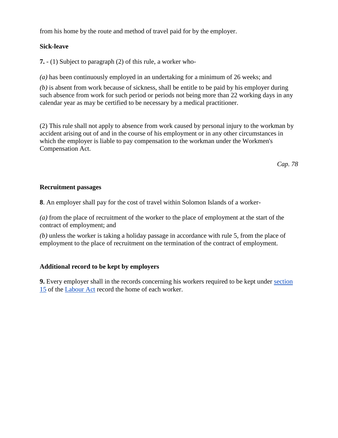from his home by the route and method of travel paid for by the employer.

# **Sick-leave**

**7.** - (1) Subject to paragraph (2) of this rule, a worker who-

*(a)* has been continuously employed in an undertaking for a minimum of 26 weeks; and

*(b)* is absent from work because of sickness, shall be entitle to be paid by his employer during such absence from work for such period or periods not being more than 22 working days in any calendar year as may be certified to be necessary by a medical practitioner.

(2) This rule shall not apply to absence from work caused by personal injury to the workman by accident arising out of and in the course of his employment or in any other circumstances in which the employer is liable to pay compensation to the workman under the Workmen's Compensation Act.

*Cap. 78*

# **Recruitment passages**

**8**. An employer shall pay for the cost of travel within Solomon Islands of a worker-

*(a)* from the place of recruitment of the worker to the place of employment at the start of the contract of employment; and

*(b)* unless the worker is taking a holiday passage in accordance with rule 5, from the place of employment to the place of recruitment on the termination of the contract of employment.

# **Additional record to be kept by employers**

**9.** Every employer shall in the records concerning his workers required to be kept under [section](http://www.paclii.org/sb/legis/consol_act/la84/index.html#s15)  [15](http://www.paclii.org/sb/legis/consol_act/la84/index.html#s15) of the [Labour Act](http://www.paclii.org/sb/legis/consol_act/la84/) record the home of each worker.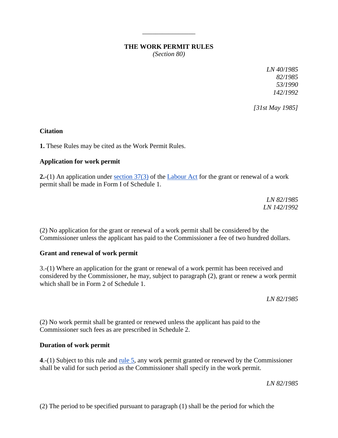# **THE WORK PERMIT RULES**

\_\_\_\_\_\_\_\_\_\_\_\_\_\_\_\_

*(Section 80)*

*LN 40/1985 82/1985 53/1990 142/1992*

*[31st May 1985]*

### **Citation**

**1.** These Rules may be cited as the Work Permit Rules.

# **Application for work permit**

**2.**-(1) An application under [section 37\(3\)](http://www.paclii.org/sb/legis/consol_act/la84/index.html#s37) of the [Labour Act](http://www.paclii.org/sb/legis/consol_act/la84/) for the grant or renewal of a work permit shall be made in Form I of Schedule 1.

> *LN 82/1985 LN 142/1992*

(2) No application for the grant or renewal of a work permit shall be considered by the Commissioner unless the applicant has paid to the Commissioner a fee of two hundred dollars.

### **Grant and renewal of work permit**

3.-(1) Where an application for the grant or renewal of a work permit has been received and considered by the Commissioner, he may, subject to paragraph (2), grant or renew a work permit which shall be in Form 2 of Schedule 1.

*LN 82/1985*

(2) No work permit shall be granted or renewed unless the applicant has paid to the Commissioner such fees as are prescribed in Schedule 2.

### **Duration of work permit**

**4**.-(1) Subject to this rule and [rule 5,](http://www.paclii.org/sb/legis/consol_act/la84/index.html#s5) any work permit granted or renewed by the Commissioner shall be valid for such period as the Commissioner shall specify in the work permit.

*LN 82/1985*

(2) The period to be specified pursuant to paragraph (1) shall be the period for which the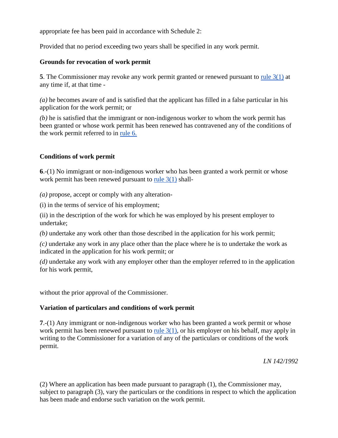appropriate fee has been paid in accordance with Schedule 2:

Provided that no period exceeding two years shall be specified in any work permit.

### **Grounds for revocation of work permit**

**5**. The Commissioner may revoke any work permit granted or renewed pursuant to [rule 3\(1\)](http://www.paclii.org/sb/legis/consol_act/la84/index.html#s3) at any time if, at that time -

*(a)* he becomes aware of and is satisfied that the applicant has filled in a false particular in his application for the work permit; or

*(b)* he is satisfied that the immigrant or non-indigenous worker to whom the work permit has been granted or whose work permit has been renewed has contravened any of the conditions of the work permit referred to in [rule 6.](http://www.paclii.org/sb/legis/consol_act/la84/index.html#s6)

# **Conditions of work permit**

**6**.-(1) No immigrant or non-indigenous worker who has been granted a work permit or whose work permit has been renewed pursuant to [rule 3\(1\)](http://www.paclii.org/sb/legis/consol_act/la84/index.html#s3) shall-

*(a)* propose, accept or comply with any alteration-

(i) in the terms of service of his employment;

(ii) in the description of the work for which he was employed by his present employer to undertake;

*(b)* undertake any work other than those described in the application for his work permit;

*(c)* undertake any work in any place other than the place where he is to undertake the work as indicated in the application for his work permit; or

*(d)* undertake any work with any employer other than the employer referred to in the application for his work permit,

without the prior approval of the Commissioner.

# **Variation of particulars and conditions of work permit**

**7**.-(1) Any immigrant or non-indigenous worker who has been granted a work permit or whose work permit has been renewed pursuant to rule  $3(1)$ , or his employer on his behalf, may apply in writing to the Commissioner for a variation of any of the particulars or conditions of the work permit.

*LN 142/1992*

(2) Where an application has been made pursuant to paragraph (1), the Commissioner may, subject to paragraph (3), vary the particulars or the conditions in respect to which the application has been made and endorse such variation on the work permit.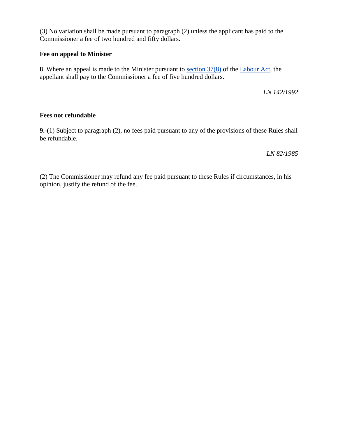(3) No variation shall be made pursuant to paragraph (2) unless the applicant has paid to the Commissioner a fee of two hundred and fifty dollars.

### **Fee on appeal to Minister**

**8**. Where an appeal is made to the Minister pursuant to [section 37\(8\)](http://www.paclii.org/sb/legis/consol_act/la84/index.html#s37) of the [Labour Act,](http://www.paclii.org/sb/legis/consol_act/la84/) the appellant shall pay to the Commissioner a fee of five hundred dollars.

*LN 142/1992*

### **Fees not refundable**

**9.**-(1) Subject to paragraph (2), no fees paid pursuant to any of the provisions of these Rules shall be refundable.

*LN 82/1985*

(2) The Commissioner may refund any fee paid pursuant to these Rules if circumstances, in his opinion, justify the refund of the fee.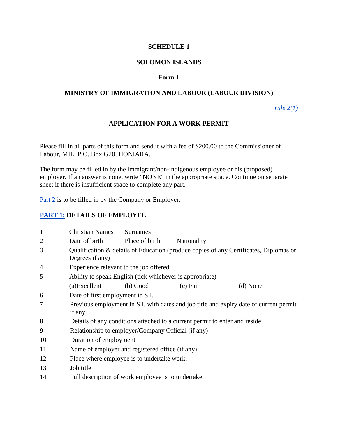# **SCHEDULE 1**

\_\_\_\_\_\_\_\_\_\_\_

### **SOLOMON ISLANDS**

# **Form 1**

### **MINISTRY OF IMMIGRATION AND LABOUR (LABOUR DIVISION)**

*[rule 2\(1\)](http://www.paclii.org/sb/legis/consol_act/la84/index.html#s2)*

# **APPLICATION FOR A WORK PERMIT**

Please fill in all parts of this form and send it with a fee of \$200.00 to the Commissioner of Labour, MIL, P.O. Box G20, HONIARA.

The form may be filled in by the immigrant/non-indigenous employee or his (proposed) employer. If an answer is none, write "NONE" in the appropriate space. Continue on separate sheet if there is insufficient space to complete any part.

[Part 2](http://www.paclii.org/sb/legis/consol_act/la84/index.html#p2) is to be filled in by the Company or Employer.

### **[PART 1:](http://www.paclii.org/sb/legis/consol_act/la84/index.html#p1) DETAILS OF EMPLOYEE**

| $\mathbf{1}$   | <b>Christian Names</b>                                                                            | <b>Surnames</b>                                                                       |             |            |  |  |
|----------------|---------------------------------------------------------------------------------------------------|---------------------------------------------------------------------------------------|-------------|------------|--|--|
| $\overline{2}$ | Date of birth                                                                                     | Place of birth                                                                        | Nationality |            |  |  |
| 3              | Degrees if any)                                                                                   | Qualification & details of Education (produce copies of any Certificates, Diplomas or |             |            |  |  |
| $\overline{4}$ | Experience relevant to the job offered                                                            |                                                                                       |             |            |  |  |
| 5              | Ability to speak English (tick whichever is appropriate)                                          |                                                                                       |             |            |  |  |
|                | (a)Excellent                                                                                      | (b) Good                                                                              | $(c)$ Fair  | $(d)$ None |  |  |
| 6              | Date of first employment in S.I.                                                                  |                                                                                       |             |            |  |  |
| 7              | Previous employment in S.I. with dates and job title and expiry date of current permit<br>if any. |                                                                                       |             |            |  |  |
| 8              | Details of any conditions attached to a current permit to enter and reside.                       |                                                                                       |             |            |  |  |
| 9              | Relationship to employer/Company Official (if any)                                                |                                                                                       |             |            |  |  |
| 10             | Duration of employment                                                                            |                                                                                       |             |            |  |  |
| 11             | Name of employer and registered office (if any)                                                   |                                                                                       |             |            |  |  |
| 12             | Place where employee is to undertake work.                                                        |                                                                                       |             |            |  |  |
| 13             | Job title                                                                                         |                                                                                       |             |            |  |  |
| 14             | Full description of work employee is to undertake.                                                |                                                                                       |             |            |  |  |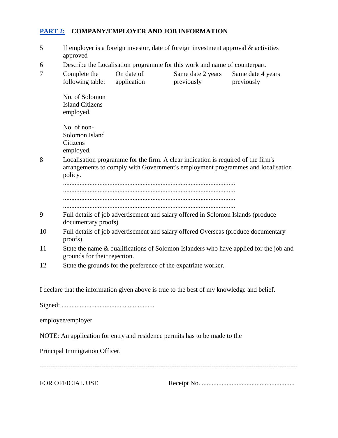# **[PART 2:](http://www.paclii.org/sb/legis/consol_act/la84/index.html#p2) COMPANY/EMPLOYER AND JOB INFORMATION**

| 5                                                                                                                                                                                    | If employer is a foreign investor, date of foreign investment approval $\&$ activities<br>approved      |                                                                                                                       |                                                                                            |                                 |  |  |
|--------------------------------------------------------------------------------------------------------------------------------------------------------------------------------------|---------------------------------------------------------------------------------------------------------|-----------------------------------------------------------------------------------------------------------------------|--------------------------------------------------------------------------------------------|---------------------------------|--|--|
| 6                                                                                                                                                                                    | Describe the Localisation programme for this work and name of counterpart.                              |                                                                                                                       |                                                                                            |                                 |  |  |
| 7                                                                                                                                                                                    | Complete the<br>following table:                                                                        | On date of<br>application                                                                                             | Same date 2 years<br>previously                                                            | Same date 4 years<br>previously |  |  |
|                                                                                                                                                                                      | No. of Solomon<br><b>Island Citizens</b><br>employed.                                                   |                                                                                                                       |                                                                                            |                                 |  |  |
|                                                                                                                                                                                      | No. of non-<br>Solomon Island<br>Citizens<br>employed.                                                  |                                                                                                                       |                                                                                            |                                 |  |  |
| Localisation programme for the firm. A clear indication is required of the firm's<br>8<br>arrangements to comply with Government's employment programmes and localisation<br>policy. |                                                                                                         |                                                                                                                       |                                                                                            |                                 |  |  |
|                                                                                                                                                                                      |                                                                                                         |                                                                                                                       |                                                                                            |                                 |  |  |
| 9                                                                                                                                                                                    | Full details of job advertisement and salary offered in Solomon Islands (produce<br>documentary proofs) |                                                                                                                       |                                                                                            |                                 |  |  |
| 10                                                                                                                                                                                   | Full details of job advertisement and salary offered Overseas (produce documentary<br>proofs)           |                                                                                                                       |                                                                                            |                                 |  |  |
| 11                                                                                                                                                                                   |                                                                                                         | State the name & qualifications of Solomon Islanders who have applied for the job and<br>grounds for their rejection. |                                                                                            |                                 |  |  |
| 12                                                                                                                                                                                   | State the grounds for the preference of the expatriate worker.                                          |                                                                                                                       |                                                                                            |                                 |  |  |
|                                                                                                                                                                                      |                                                                                                         |                                                                                                                       | I declare that the information given above is true to the best of my knowledge and belief. |                                 |  |  |
|                                                                                                                                                                                      |                                                                                                         |                                                                                                                       |                                                                                            |                                 |  |  |
|                                                                                                                                                                                      | employee/employer                                                                                       |                                                                                                                       |                                                                                            |                                 |  |  |
|                                                                                                                                                                                      |                                                                                                         |                                                                                                                       | NOTE: An application for entry and residence permits has to be made to the                 |                                 |  |  |
|                                                                                                                                                                                      | Principal Immigration Officer.                                                                          |                                                                                                                       |                                                                                            |                                 |  |  |
|                                                                                                                                                                                      | FOR OFFICIAL USE                                                                                        |                                                                                                                       |                                                                                            |                                 |  |  |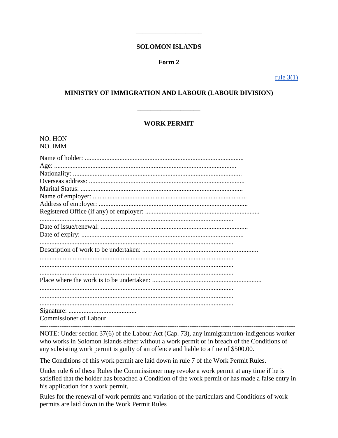#### **SOLOMON ISLANDS**

### Form 2

rule  $3(1)$ 

### **MINISTRY OF IMMIGRATION AND LABOUR (LABOUR DIVISION)**

### **WORK PERMIT**

| NO. HON<br>NO. IMM            |
|-------------------------------|
|                               |
| Age:                          |
|                               |
|                               |
|                               |
|                               |
|                               |
|                               |
|                               |
|                               |
|                               |
|                               |
|                               |
|                               |
|                               |
|                               |
|                               |
| <b>Commissioner of Labour</b> |

NOTE: Under section 37(6) of the Labour Act (Cap. 73), any immigrant/non-indigenous worker who works in Solomon Islands either without a work permit or in breach of the Conditions of any subsisting work permit is guilty of an offence and liable to a fine of \$500.00.

The Conditions of this work permit are laid down in rule 7 of the Work Permit Rules.

Under rule 6 of these Rules the Commissioner may revoke a work permit at any time if he is satisfied that the holder has breached a Condition of the work permit or has made a false entry in his application for a work permit.

Rules for the renewal of work permits and variation of the particulars and Conditions of work permits are laid down in the Work Permit Rules